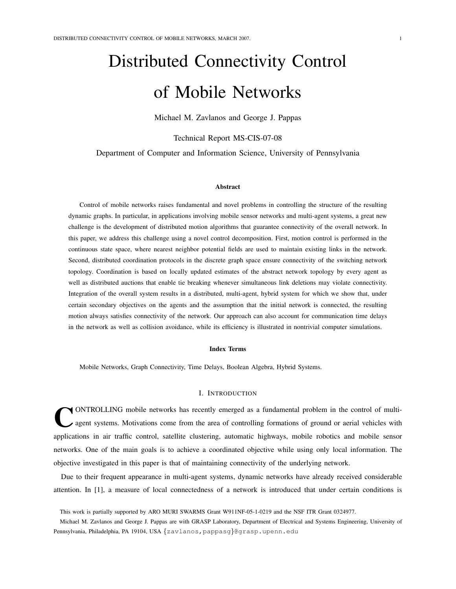# Distributed Connectivity Control of Mobile Networks

Michael M. Zavlanos and George J. Pappas

Technical Report MS-CIS-07-08

Department of Computer and Information Science, University of Pennsylvania

# Abstract

Control of mobile networks raises fundamental and novel problems in controlling the structure of the resulting dynamic graphs. In particular, in applications involving mobile sensor networks and multi-agent systems, a great new challenge is the development of distributed motion algorithms that guarantee connectivity of the overall network. In this paper, we address this challenge using a novel control decomposition. First, motion control is performed in the continuous state space, where nearest neighbor potential fields are used to maintain existing links in the network. Second, distributed coordination protocols in the discrete graph space ensure connectivity of the switching network topology. Coordination is based on locally updated estimates of the abstract network topology by every agent as well as distributed auctions that enable tie breaking whenever simultaneous link deletions may violate connectivity. Integration of the overall system results in a distributed, multi-agent, hybrid system for which we show that, under certain secondary objectives on the agents and the assumption that the initial network is connected, the resulting motion always satisfies connectivity of the network. Our approach can also account for communication time delays in the network as well as collision avoidance, while its efficiency is illustrated in nontrivial computer simulations.

## Index Terms

Mobile Networks, Graph Connectivity, Time Delays, Boolean Algebra, Hybrid Systems.

# I. INTRODUCTION

C ONTROLLING mobile networks has recently emerged as a fundamental problem in the control of multiagent systems. Motivations come from the area of controlling formations of ground or aerial vehicles with applications in air traffic control, satellite clustering, automatic highways, mobile robotics and mobile sensor networks. One of the main goals is to achieve a coordinated objective while using only local information. The objective investigated in this paper is that of maintaining connectivity of the underlying network.

Due to their frequent appearance in multi-agent systems, dynamic networks have already received considerable attention. In [1], a measure of local connectedness of a network is introduced that under certain conditions is

This work is partially supported by ARO MURI SWARMS Grant W911NF-05-1-0219 and the NSF ITR Grant 0324977.

Michael M. Zavlanos and George J. Pappas are with GRASP Laboratory, Department of Electrical and Systems Engineering, University of Pennsylvania, Philadelphia, PA 19104, USA {zavlanos, pappasg}@grasp.upenn.edu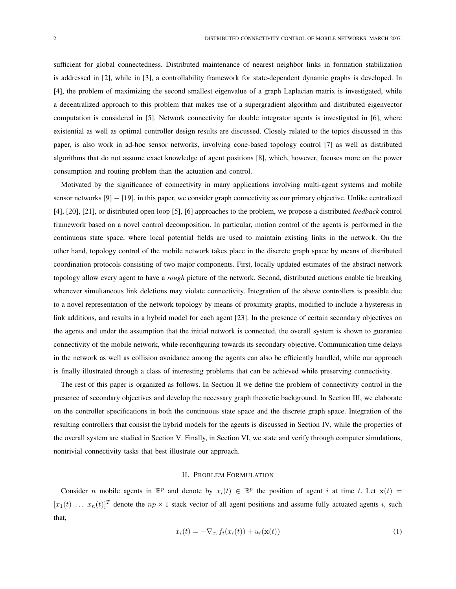sufficient for global connectedness. Distributed maintenance of nearest neighbor links in formation stabilization is addressed in [2], while in [3], a controllability framework for state-dependent dynamic graphs is developed. In [4], the problem of maximizing the second smallest eigenvalue of a graph Laplacian matrix is investigated, while a decentralized approach to this problem that makes use of a supergradient algorithm and distributed eigenvector computation is considered in [5]. Network connectivity for double integrator agents is investigated in [6], where existential as well as optimal controller design results are discussed. Closely related to the topics discussed in this paper, is also work in ad-hoc sensor networks, involving cone-based topology control [7] as well as distributed algorithms that do not assume exact knowledge of agent positions [8], which, however, focuses more on the power consumption and routing problem than the actuation and control.

Motivated by the significance of connectivity in many applications involving multi-agent systems and mobile sensor networks [9] − [19], in this paper, we consider graph connectivity as our primary objective. Unlike centralized [4], [20], [21], or distributed open loop [5], [6] approaches to the problem, we propose a distributed *feedback* control framework based on a novel control decomposition. In particular, motion control of the agents is performed in the continuous state space, where local potential fields are used to maintain existing links in the network. On the other hand, topology control of the mobile network takes place in the discrete graph space by means of distributed coordination protocols consisting of two major components. First, locally updated estimates of the abstract network topology allow every agent to have a *rough* picture of the network. Second, distributed auctions enable tie breaking whenever simultaneous link deletions may violate connectivity. Integration of the above controllers is possible due to a novel representation of the network topology by means of proximity graphs, modified to include a hysteresis in link additions, and results in a hybrid model for each agent [23]. In the presence of certain secondary objectives on the agents and under the assumption that the initial network is connected, the overall system is shown to guarantee connectivity of the mobile network, while reconfiguring towards its secondary objective. Communication time delays in the network as well as collision avoidance among the agents can also be efficiently handled, while our approach is finally illustrated through a class of interesting problems that can be achieved while preserving connectivity.

The rest of this paper is organized as follows. In Section II we define the problem of connectivity control in the presence of secondary objectives and develop the necessary graph theoretic background. In Section III, we elaborate on the controller specifications in both the continuous state space and the discrete graph space. Integration of the resulting controllers that consist the hybrid models for the agents is discussed in Section IV, while the properties of the overall system are studied in Section V. Finally, in Section VI, we state and verify through computer simulations, nontrivial connectivity tasks that best illustrate our approach.

# II. PROBLEM FORMULATION

Consider *n* mobile agents in  $\mathbb{R}^p$  and denote by  $x_i(t) \in \mathbb{R}^p$  the position of agent *i* at time *t*. Let  $\mathbf{x}(t)$  =  $[x_1(t) \dots x_n(t)]^T$  denote the  $np \times 1$  stack vector of all agent positions and assume fully actuated agents i, such that,

$$
\dot{x}_i(t) = -\nabla_{x_i} f_i(x_i(t)) + u_i(\mathbf{x}(t))\tag{1}
$$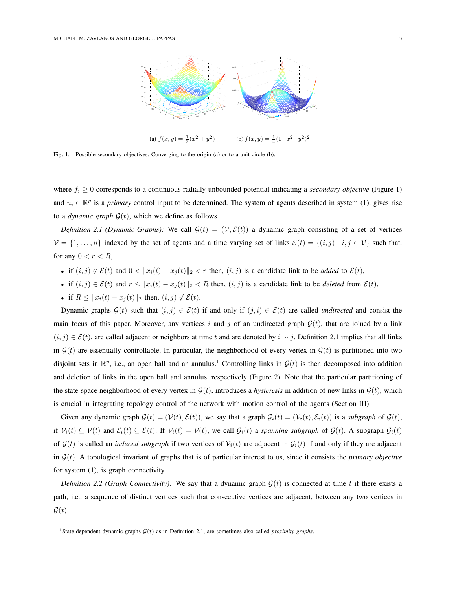

Fig. 1. Possible secondary objectives: Converging to the origin (a) or to a unit circle (b).

where  $f_i \geq 0$  corresponds to a continuous radially unbounded potential indicating a *secondary objective* (Figure 1) and  $u_i \in \mathbb{R}^p$  is a *primary* control input to be determined. The system of agents described in system (1), gives rise to a *dynamic graph*  $G(t)$ , which we define as follows.

*Definition 2.1 (Dynamic Graphs):* We call  $\mathcal{G}(t) = (\mathcal{V}, \mathcal{E}(t))$  a dynamic graph consisting of a set of vertices  $V = \{1, \ldots, n\}$  indexed by the set of agents and a time varying set of links  $\mathcal{E}(t) = \{(i, j) | i, j \in \mathcal{V}\}\$  such that, for any  $0 < r < R$ ,

- if  $(i, j) \notin \mathcal{E}(t)$  and  $0 < ||x_i(t) x_j(t)||_2 < r$  then,  $(i, j)$  is a candidate link to be *added* to  $\mathcal{E}(t)$ ,
- if  $(i, j) \in \mathcal{E}(t)$  and  $r \leq ||x_i(t) x_j(t)||_2 < R$  then,  $(i, j)$  is a candidate link to be *deleted* from  $\mathcal{E}(t)$ ,
- if  $R \le ||x_i(t) x_j(t)||_2$  then,  $(i, j) \notin \mathcal{E}(t)$ .

Dynamic graphs  $G(t)$  such that  $(i, j) \in \mathcal{E}(t)$  if and only if  $(j, i) \in \mathcal{E}(t)$  are called *undirected* and consist the main focus of this paper. Moreover, any vertices i and j of an undirected graph  $\mathcal{G}(t)$ , that are joined by a link  $(i, j) \in \mathcal{E}(t)$ , are called adjacent or neighbors at time t and are denoted by  $i \sim j$ . Definition 2.1 implies that all links in  $\mathcal{G}(t)$  are essentially controllable. In particular, the neighborhood of every vertex in  $\mathcal{G}(t)$  is partitioned into two disjoint sets in  $\mathbb{R}^p$ , i.e., an open ball and an annulus.<sup>1</sup> Controlling links in  $\mathcal{G}(t)$  is then decomposed into addition and deletion of links in the open ball and annulus, respectively (Figure 2). Note that the particular partitioning of the state-space neighborhood of every vertex in  $\mathcal{G}(t)$ , introduces a *hysteresis* in addition of new links in  $\mathcal{G}(t)$ , which is crucial in integrating topology control of the network with motion control of the agents (Section III).

Given any dynamic graph  $\mathcal{G}(t) = (\mathcal{V}(t), \mathcal{E}(t))$ , we say that a graph  $\mathcal{G}_i(t) = (\mathcal{V}_i(t), \mathcal{E}_i(t))$  is a *subgraph* of  $\mathcal{G}(t)$ , if  $V_i(t) \subseteq V(t)$  and  $\mathcal{E}_i(t) \subseteq \mathcal{E}(t)$ . If  $V_i(t) = V(t)$ , we call  $\mathcal{G}_i(t)$  a *spanning subgraph* of  $\mathcal{G}(t)$ . A subgraph  $\mathcal{G}_i(t)$ of  $\mathcal{G}(t)$  is called an *induced subgraph* if two vertices of  $\mathcal{V}_i(t)$  are adjacent in  $\mathcal{G}_i(t)$  if and only if they are adjacent in  $\mathcal{G}(t)$ . A topological invariant of graphs that is of particular interest to us, since it consists the *primary objective* for system (1), is graph connectivity.

*Definition 2.2 (Graph Connectivity):* We say that a dynamic graph  $\mathcal{G}(t)$  is connected at time t if there exists a path, i.e., a sequence of distinct vertices such that consecutive vertices are adjacent, between any two vertices in  $\mathcal{G}(t)$ .

<sup>&</sup>lt;sup>1</sup>State-dependent dynamic graphs  $G(t)$  as in Definition 2.1, are sometimes also called *proximity graphs*.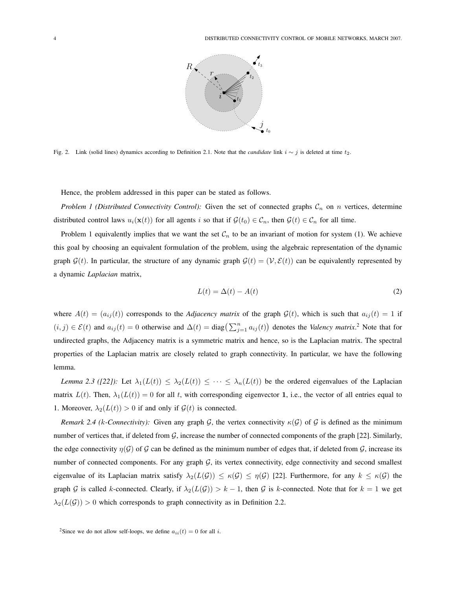

Fig. 2. Link (solid lines) dynamics according to Definition 2.1. Note that the *candidate* link  $i ∼ j$  is deleted at time  $t_2$ .

Hence, the problem addressed in this paper can be stated as follows.

*Problem 1 (Distributed Connectivity Control):* Given the set of connected graphs  $C_n$  on n vertices, determine distributed control laws  $u_i(\mathbf{x}(t))$  for all agents i so that if  $\mathcal{G}(t_0) \in \mathcal{C}_n$ , then  $\mathcal{G}(t) \in \mathcal{C}_n$  for all time.

Problem 1 equivalently implies that we want the set  $\mathcal{C}_n$  to be an invariant of motion for system (1). We achieve this goal by choosing an equivalent formulation of the problem, using the algebraic representation of the dynamic graph  $\mathcal{G}(t)$ . In particular, the structure of any dynamic graph  $\mathcal{G}(t) = (\mathcal{V}, \mathcal{E}(t))$  can be equivalently represented by a dynamic *Laplacian* matrix,

$$
L(t) = \Delta(t) - A(t) \tag{2}
$$

where  $A(t) = (a_{ij}(t))$  corresponds to the *Adjacency matrix* of the graph  $G(t)$ , which is such that  $a_{ij}(t) = 1$  if  $(i, j) \in \mathcal{E}(t)$  and  $a_{ij}(t) = 0$  otherwise and  $\Delta(t) = \text{diag}\left(\sum_{j=1}^{n} a_{ij}(t)\right)$ ¢ denotes the *Valency matrix*. <sup>2</sup> Note that for undirected graphs, the Adjacency matrix is a symmetric matrix and hence, so is the Laplacian matrix. The spectral properties of the Laplacian matrix are closely related to graph connectivity. In particular, we have the following lemma.

*Lemma 2.3 ([22]):* Let  $\lambda_1(L(t)) \leq \lambda_2(L(t)) \leq \cdots \leq \lambda_n(L(t))$  be the ordered eigenvalues of the Laplacian matrix  $L(t)$ . Then,  $\lambda_1(L(t)) = 0$  for all t, with corresponding eigenvector 1, i.e., the vector of all entries equal to 1. Moreover,  $\lambda_2(L(t)) > 0$  if and only if  $\mathcal{G}(t)$  is connected.

*Remark 2.4 (k-Connectivity):* Given any graph G, the vertex connectivity  $\kappa(G)$  of G is defined as the minimum number of vertices that, if deleted from  $G$ , increase the number of connected components of the graph [22]. Similarly, the edge connectivity  $\eta(\mathcal{G})$  of  $\mathcal{G}$  can be defined as the minimum number of edges that, if deleted from  $\mathcal{G}$ , increase its number of connected components. For any graph  $G$ , its vertex connectivity, edge connectivity and second smallest eigenvalue of its Laplacian matrix satisfy  $\lambda_2(L(\mathcal{G})) \leq \kappa(\mathcal{G}) \leq \eta(\mathcal{G})$  [22]. Furthermore, for any  $k \leq \kappa(\mathcal{G})$  the graph G is called k-connected. Clearly, if  $\lambda_2(L(\mathcal{G})) > k - 1$ , then G is k-connected. Note that for  $k = 1$  we get  $\lambda_2(L(\mathcal{G})) > 0$  which corresponds to graph connectivity as in Definition 2.2.

<sup>&</sup>lt;sup>2</sup>Since we do not allow self-loops, we define  $a_{ii}(t) = 0$  for all *i*.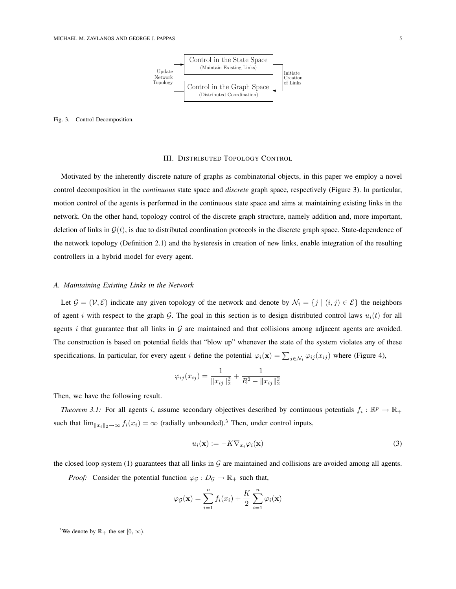

## Fig. 3. Control Decomposition.

## III. DISTRIBUTED TOPOLOGY CONTROL

Motivated by the inherently discrete nature of graphs as combinatorial objects, in this paper we employ a novel control decomposition in the *continuous* state space and *discrete* graph space, respectively (Figure 3). In particular, motion control of the agents is performed in the continuous state space and aims at maintaining existing links in the network. On the other hand, topology control of the discrete graph structure, namely addition and, more important, deletion of links in  $\mathcal{G}(t)$ , is due to distributed coordination protocols in the discrete graph space. State-dependence of the network topology (Definition 2.1) and the hysteresis in creation of new links, enable integration of the resulting controllers in a hybrid model for every agent.

# *A. Maintaining Existing Links in the Network*

Let  $\mathcal{G} = (\mathcal{V}, \mathcal{E})$  indicate any given topology of the network and denote by  $\mathcal{N}_i = \{j \mid (i, j) \in \mathcal{E}\}\$  the neighbors of agent i with respect to the graph G. The goal in this section is to design distributed control laws  $u_i(t)$  for all agents  $i$  that guarantee that all links in  $G$  are maintained and that collisions among adjacent agents are avoided. The construction is based on potential fields that "blow up" whenever the state of the system violates any of these specifications. In particular, for every agent i define the potential  $\varphi_i(\mathbf{x}) = \sum_{j \in \mathcal{N}_i} \varphi_{ij}(x_{ij})$  where (Figure 4),

$$
\varphi_{ij}(x_{ij}) = \frac{1}{\|x_{ij}\|_2^2} + \frac{1}{R^2 - \|x_{ij}\|_2^2}
$$

Then, we have the following result.

*Theorem 3.1:* For all agents i, assume secondary objectives described by continuous potentials  $f_i : \mathbb{R}^p \to \mathbb{R}_+$ such that  $\lim_{\|x_i\|_2\to\infty} f_i(x_i) = \infty$  (radially unbounded).<sup>3</sup> Then, under control inputs,

$$
u_i(\mathbf{x}) := -K \nabla_{x_i} \varphi_i(\mathbf{x}) \tag{3}
$$

the closed loop system (1) guarantees that all links in  $G$  are maintained and collisions are avoided among all agents.

*Proof:* Consider the potential function  $\varphi_{\mathcal{G}} : D_{\mathcal{G}} \to \mathbb{R}_+$  such that,

$$
\varphi_{\mathcal{G}}(\mathbf{x}) = \sum_{i=1}^{n} f_i(x_i) + \frac{K}{2} \sum_{i=1}^{n} \varphi_i(\mathbf{x})
$$

<sup>3</sup>We denote by  $\mathbb{R}_+$  the set  $[0, \infty)$ .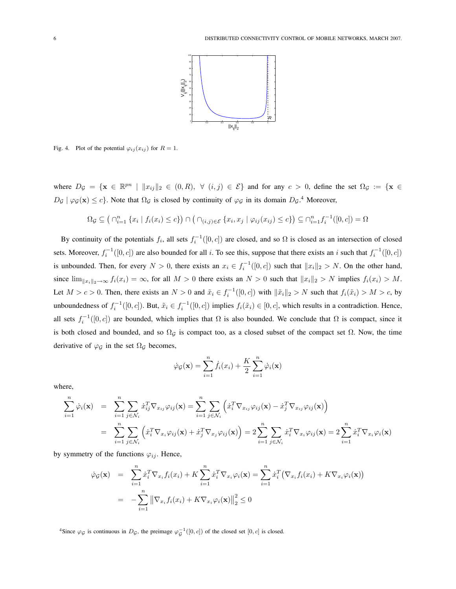

Fig. 4. Plot of the potential  $\varphi_{ij}(x_{ij})$  for  $R = 1$ .

where  $D_{\mathcal{G}} = {\mathbf{x} \in \mathbb{R}^{pn} \mid ||x_{ij}||_2 \in (0,R), \forall (i,j) \in \mathcal{E}}$  and for any  $c > 0$ , define the set  $\Omega_{\mathcal{G}} := {\mathbf{x} \in \mathbb{R}^{pn} \setminus \mathbb{R}^{pn}}$  $D_{\mathcal{G}} | \varphi_{\mathcal{G}}(\mathbf{x}) \leq c$ . Note that  $\Omega_{\mathcal{G}}$  is closed by continuity of  $\varphi_{\mathcal{G}}$  in its domain  $D_{\mathcal{G}}$ .<sup>4</sup> Moreover,

$$
\Omega_{\mathcal{G}} \subseteq \left( \bigcap_{i=1}^{n} \{x_i \mid f_i(x_i) \leq c\} \right) \cap \left( \bigcap_{(i,j)\in \mathcal{E}} \{x_i, x_j \mid \varphi_{ij}(x_{ij}) \leq c\} \right) \subseteq \bigcap_{i=1}^{n} f_i^{-1}([0, c]) = \Omega
$$

By continuity of the potentials  $f_i$ , all sets  $f_i^{-1}([0, c])$  are closed, and so  $\Omega$  is closed as an intersection of closed sets. Moreover,  $f_i^{-1}([0, c])$  are also bounded for all i. To see this, suppose that there exists an i such that  $f_i^{-1}([0, c])$ is unbounded. Then, for every  $N > 0$ , there exists an  $x_i \in f_i^{-1}([0, c])$  such that  $||x_i||_2 > N$ . On the other hand, since  $\lim_{\|x_i\|_2\to\infty} f_i(x_i) = \infty$ , for all  $M > 0$  there exists an  $N > 0$  such that  $\|x_i\|_2 > N$  implies  $f_i(x_i) > M$ . Let  $M > c > 0$ . Then, there exists an  $N > 0$  and  $\tilde{x}_i \in f_i^{-1}([0, c])$  with  $\|\tilde{x}_i\|_2 > N$  such that  $f_i(\tilde{x}_i) > M > c$ , by unboundedness of  $f_i^{-1}([0, c])$ . But,  $\tilde{x}_i \in f_i^{-1}([0, c])$  implies  $f_i(\tilde{x}_i) \in [0, c]$ , which results in a contradiction. Hence, all sets  $f_i^{-1}([0,c])$  are bounded, which implies that  $\Omega$  is also bounded. We conclude that  $\Omega$  is compact, since it is both closed and bounded, and so  $\Omega$ <sub>G</sub> is compact too, as a closed subset of the compact set  $\Omega$ . Now, the time derivative of  $\varphi_{\mathcal{G}}$  in the set  $\Omega_{\mathcal{G}}$  becomes,

$$
\dot{\varphi}_{\mathcal{G}}(\mathbf{x}) = \sum_{i=1}^{n} \dot{f}_i(x_i) + \frac{K}{2} \sum_{i=1}^{n} \dot{\varphi}_i(\mathbf{x})
$$

where,

$$
\sum_{i=1}^{n} \dot{\varphi}_i(\mathbf{x}) = \sum_{i=1}^{n} \sum_{j \in \mathcal{N}_i} \dot{x}_{ij}^T \nabla_{x_{ij}} \varphi_{ij}(\mathbf{x}) = \sum_{i=1}^{n} \sum_{j \in \mathcal{N}_i} \left( \dot{x}_i^T \nabla_{x_{ij}} \varphi_{ij}(\mathbf{x}) - \dot{x}_j^T \nabla_{x_{ij}} \varphi_{ij}(\mathbf{x}) \right)
$$

$$
= \sum_{i=1}^{n} \sum_{j \in \mathcal{N}_i} \left( \dot{x}_i^T \nabla_{x_i} \varphi_{ij}(\mathbf{x}) + \dot{x}_j^T \nabla_{x_j} \varphi_{ij}(\mathbf{x}) \right) = 2 \sum_{i=1}^{n} \sum_{j \in \mathcal{N}_i} \dot{x}_i^T \nabla_{x_i} \varphi_{ij}(\mathbf{x}) = 2 \sum_{i=1}^{n} \dot{x}_i^T \nabla_{x_i} \varphi_i(\mathbf{x})
$$

by symmetry of the functions  $\varphi_{ij}$ . Hence,

$$
\begin{aligned}\n\dot{\varphi}_{\mathcal{G}}(\mathbf{x}) &= \sum_{i=1}^{n} \dot{x}_i^T \nabla_{x_i} f_i(x_i) + K \sum_{i=1}^{n} \dot{x}_i^T \nabla_{x_i} \varphi_i(\mathbf{x}) = \sum_{i=1}^{n} \dot{x}_i^T \big( \nabla_{x_i} f_i(x_i) + K \nabla_{x_i} \varphi_i(\mathbf{x}) \big) \\
&= - \sum_{i=1}^{n} \left\| \nabla_{x_i} f_i(x_i) + K \nabla_{x_i} \varphi_i(\mathbf{x}) \right\|_2^2 \leq 0\n\end{aligned}
$$

<sup>4</sup>Since  $\varphi_{\mathcal{G}}$  is continuous in  $D_{\mathcal{G}}$ , the preimage  $\varphi_{\mathcal{G}}^{-1}([0,c])$  of the closed set  $[0,c]$  is closed.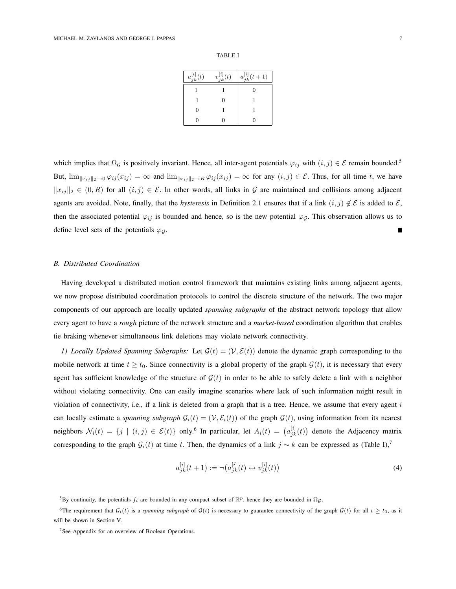#### TABLE I

| $a_{jk}^{[i]}(t)$ | $v_{jk}^{[i]}(t)$ | $a_{jk}^{[i]}(t+1)$ |
|-------------------|-------------------|---------------------|
|                   |                   | 0                   |
|                   |                   |                     |
|                   |                   |                     |
|                   |                   |                     |

which implies that  $\Omega_{\mathcal{G}}$  is positively invariant. Hence, all inter-agent potentials  $\varphi_{ij}$  with  $(i, j) \in \mathcal{E}$  remain bounded.<sup>5</sup> But,  $\lim_{\|x_{ij}\|_2\to 0} \varphi_{ij}(x_{ij}) = \infty$  and  $\lim_{\|x_{ij}\|_2\to R} \varphi_{ij}(x_{ij}) = \infty$  for any  $(i, j) \in \mathcal{E}$ . Thus, for all time t, we have  $||x_{ij}||_2 \in (0, R)$  for all  $(i, j) \in \mathcal{E}$ . In other words, all links in G are maintained and collisions among adjacent agents are avoided. Note, finally, that the *hysteresis* in Definition 2.1 ensures that if a link  $(i, j) \notin \mathcal{E}$  is added to  $\mathcal{E}$ , then the associated potential  $\varphi_{ij}$  is bounded and hence, so is the new potential  $\varphi_{\mathcal{G}}$ . This observation allows us to define level sets of the potentials  $\varphi_G$ .

## *B. Distributed Coordination*

Having developed a distributed motion control framework that maintains existing links among adjacent agents, we now propose distributed coordination protocols to control the discrete structure of the network. The two major components of our approach are locally updated *spanning subgraphs* of the abstract network topology that allow every agent to have a *rough* picture of the network structure and a *market-based* coordination algorithm that enables tie braking whenever simultaneous link deletions may violate network connectivity.

*1) Locally Updated Spanning Subgraphs:* Let  $\mathcal{G}(t) = (\mathcal{V}, \mathcal{E}(t))$  denote the dynamic graph corresponding to the mobile network at time  $t \geq t_0$ . Since connectivity is a global property of the graph  $\mathcal{G}(t)$ , it is necessary that every agent has sufficient knowledge of the structure of  $G(t)$  in order to be able to safely delete a link with a neighbor without violating connectivity. One can easily imagine scenarios where lack of such information might result in violation of connectivity, i.e., if a link is deleted from a graph that is a tree. Hence, we assume that every agent  $i$ can locally estimate a *spanning subgraph*  $G_i(t) = (V, \mathcal{E}_i(t))$  of the graph  $\mathcal{G}(t)$ , using information from its nearest neighbors  $\mathcal{N}_i(t) = \{j \mid (i,j) \in \mathcal{E}(t)\}$  only.<sup>6</sup> In particular, let  $A_i(t) = (a_{jk}^{[i]}(t))$ ¢ denote the Adjacency matrix corresponding to the graph  $G_i(t)$  at time t. Then, the dynamics of a link  $j \sim k$  can be expressed as (Table I),<sup>7</sup>

$$
a_{jk}^{[i]}(t+1) := \neg \big(a_{jk}^{[i]}(t) \leftrightarrow v_{jk}^{[i]}(t)\big) \tag{4}
$$

<sup>5</sup>By continuity, the potentials  $f_i$  are bounded in any compact subset of  $\mathbb{R}^p$ , hence they are bounded in  $\Omega_g$ .

<sup>&</sup>lt;sup>6</sup>The requirement that  $G_i(t)$  is a *spanning subgraph* of  $G(t)$  is necessary to guarantee connectivity of the graph  $G(t)$  for all  $t \geq t_0$ , as it will be shown in Section V.

<sup>7</sup>See Appendix for an overview of Boolean Operations.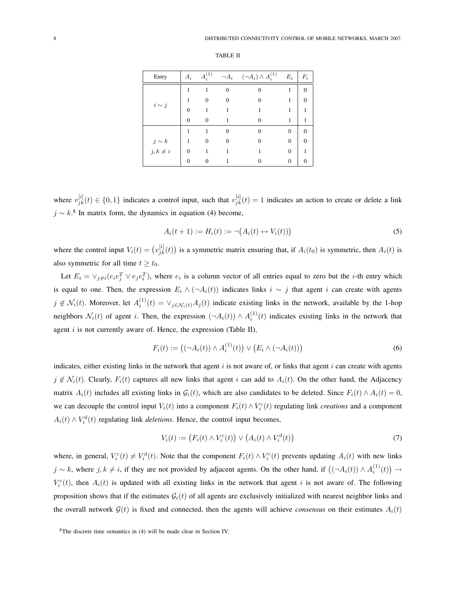#### TABLE II

| Entry       | $A_i$ | $A^{(1)}$ | $\neg A_i$ | $(\neg A_i) \wedge A_i^{(1)}$ | $E_i$    | $F_i$ |
|-------------|-------|-----------|------------|-------------------------------|----------|-------|
| $i \sim j$  |       |           | $\Omega$   |                               | 1        | 0     |
|             |       | 0         | 0          |                               |          | 0     |
|             | 0     |           |            |                               |          |       |
|             | 0     | 0         |            |                               | 1        |       |
|             | 1     |           | 0          | $\theta$                      | $\Omega$ |       |
| $j \sim k$  |       | 0         |            |                               | $\theta$ |       |
| $j,k\neq i$ |       |           |            |                               | $\Omega$ |       |
|             |       | 0         |            |                               | $\Omega$ |       |

where  $v_{jk}^{[i]}(t) \in \{0,1\}$  indicates a control input, such that  $v_{jk}^{[i]}(t) = 1$  indicates an action to create or delete a link  $j \sim k$ .<sup>8</sup> In matrix form, the dynamics in equation (4) become,

$$
A_i(t+1) := H_i(t) := \neg (A_i(t) \leftrightarrow V_i(t)))
$$
\n(5)

where the control input  $V_i(t) = (v_{jk}^{[i]}(t))$ ¢ is a symmetric matrix ensuring that, if  $A_i(t_0)$  is symmetric, then  $A_i(t)$  is also symmetric for all time  $t \geq t_0$ .

Let  $E_i = \vee_{j \neq i} (e_i e_j^T \vee e_j e_i^T)$ , where  $e_i$  is a column vector of all entries equal to zero but the *i*-th entry which is equal to one. Then, the expression  $E_i \wedge (\neg A_i(t))$  indicates links  $i \sim j$  that agent i can create with agents  $j \notin \mathcal{N}_i(t)$ . Moreover, let  $A_i^{(1)}(t) = \vee_{j \in \mathcal{N}_i(t)} A_j(t)$  indicate existing links in the network, available by the 1-hop neighbors  $\mathcal{N}_i(t)$  of agent i. Then, the expression  $(\neg A_i(t)) \wedge A_i^{(1)}(t)$  indicates existing links in the network that agent  $i$  is not currently aware of. Hence, the expression (Table II),

$$
F_i(t) := ((\neg A_i(t)) \land A_i^{(1)}(t)) \lor (E_i \land (\neg A_i(t)))
$$
\n(6)

indicates, either existing links in the network that agent  $i$  is not aware of, or links that agent  $i$  can create with agents  $j \notin \mathcal{N}_i(t)$ . Clearly,  $F_i(t)$  captures all new links that agent i can add to  $A_i(t)$ . On the other hand, the Adjacency matrix  $A_i(t)$  includes all existing links in  $\mathcal{G}_i(t)$ , which are also candidates to be deleted. Since  $F_i(t) \wedge A_i(t) = 0$ , we can decouple the control input  $V_i(t)$  into a component  $F_i(t) \wedge V_i^c(t)$  regulating link *creations* and a component  $A_i(t) \wedge V_i^d(t)$  regulating link *deletions*. Hence, the control input becomes,

$$
V_i(t) := (F_i(t) \wedge V_i^c(t)) \vee (A_i(t) \wedge V_i^d(t))
$$
\n
$$
(7)
$$

where, in general,  $V_i^c(t) \neq V_i^d(t)$ . Note that the component  $F_i(t) \wedge V_i^c(t)$  prevents updating  $A_i(t)$  with new links  $j \sim k$ , where  $j, k \neq i$ , if they are not provided by adjacent agents. On the other hand, if  $((\neg A_i(t)) \wedge A_i^{(1)}(t))$ ¢  $\rightarrow$  $V_i^c(t)$ , then  $A_i(t)$  is updated with all existing links in the network that agent i is not aware of. The following proposition shows that if the estimates  $G_i(t)$  of all agents are exclusively initialized with nearest neighbor links and the overall network  $\mathcal{G}(t)$  is fixed and connected, then the agents will achieve *consensus* on their estimates  $A_i(t)$ 

<sup>8</sup>The discrete time semantics in (4) will be made clear in Section IV.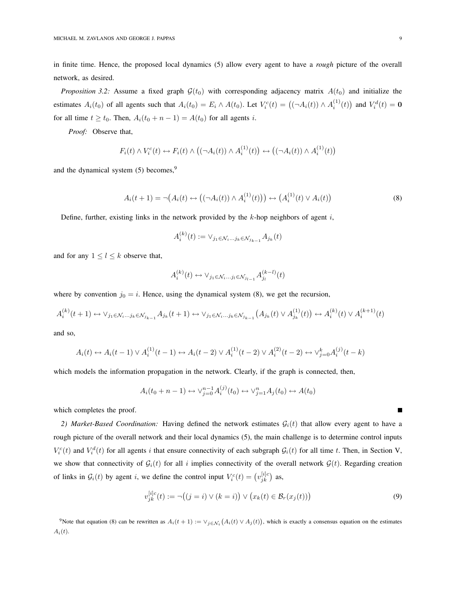in finite time. Hence, the proposed local dynamics (5) allow every agent to have a *rough* picture of the overall network, as desired.

*Proposition 3.2:* Assume a fixed graph  $\mathcal{G}(t_0)$  with corresponding adjacency matrix  $A(t_0)$  and initialize the estimates  $A_i(t_0)$  of all agents such that  $A_i(t_0) = E_i \wedge A(t_0)$ . Let  $V_i^c(t) = \left( (\neg A_i(t)) \wedge A_i^{(1)}(t) \right)$ ¢ and  $V_i^d(t) = \mathbf{0}$ for all time  $t \ge t_0$ . Then,  $A_i(t_0 + n - 1) = A(t_0)$  for all agents i.

*Proof:* Observe that,

$$
F_i(t) \wedge V_i^c(t) \leftrightarrow F_i(t) \wedge ((\neg A_i(t)) \wedge A_i^{(1)}(t)) \leftrightarrow ((\neg A_i(t)) \wedge A_i^{(1)}(t))
$$

and the dynamical system (5) becomes,<sup>9</sup>

$$
A_i(t+1) = \neg (A_i(t) \leftrightarrow ((\neg A_i(t)) \land A_i^{(1)}(t))) \leftrightarrow (A_i^{(1)}(t) \lor A_i(t))
$$
\n(8)

Define, further, existing links in the network provided by the  $k$ -hop neighbors of agent  $i$ ,

 $\langle k \rangle$ 

$$
A_i^{(k)}(t) := \vee_{j_1 \in \mathcal{N}_i \dots j_k \in \mathcal{N}_{j_{k-1}}} A_{j_k}(t)
$$

and for any  $1 \leq l \leq k$  observe that,

$$
A_i^{(k)}(t) \leftrightarrow \forall_{j_1 \in \mathcal{N}_i \dots j_l \in \mathcal{N}_{j_{l-1}}} A_{j_l}^{(k-l)}(t)
$$

where by convention  $j_0 = i$ . Hence, using the dynamical system (8), we get the recursion,

$$
A_i^{(k)}(t+1) \leftrightarrow \vee_{j_1 \in \mathcal{N}_i...j_k \in \mathcal{N}_{j_{k-1}}} A_{j_k}(t+1) \leftrightarrow \vee_{j_1 \in \mathcal{N}_i...j_k \in \mathcal{N}_{j_{k-1}}} (A_{j_k}(t) \vee A_{j_k}^{(1)}(t)) \leftrightarrow A_i^{(k)}(t) \vee A_i^{(k+1)}(t)
$$

and so,

$$
A_i(t) \leftrightarrow A_i(t-1) \vee A_i^{(1)}(t-1) \leftrightarrow A_i(t-2) \vee A_i^{(1)}(t-2) \vee A_i^{(2)}(t-2) \leftrightarrow \vee_{j=0}^k A_i^{(j)}(t-k)
$$

which models the information propagation in the network. Clearly, if the graph is connected, then,

$$
A_i(t_0+n-1)\leftrightarrow \vee_{j=0}^{n-1}A_i^{(j)}(t_0)\leftrightarrow \vee_{j=1}^nA_j(t_0)\leftrightarrow A(t_0)
$$

which completes the proof.

2) Market-Based Coordination: Having defined the network estimates  $G_i(t)$  that allow every agent to have a rough picture of the overall network and their local dynamics (5), the main challenge is to determine control inputs  $V_i^c(t)$  and  $V_i^d(t)$  for all agents i that ensure connectivity of each subgraph  $G_i(t)$  for all time t. Then, in Section V, we show that connectivity of  $G_i(t)$  for all i implies connectivity of the overall network  $G(t)$ . Regarding creation of links in  $G_i(t)$  by agent i, we define the control input  $V_i^c(t) = (v_{jk}^{[i]c})$  as,

$$
v_{jk}^{[i]c}(t) := \neg((j = i) \lor (k = i)) \lor (x_k(t) \in \mathcal{B}_r(x_j(t)))
$$
\n(9)

<sup>9</sup>Note that equation (8) can be rewritten as  $A_i(t+1) := \vee_{j \in \mathcal{N}_i} (A_i(t) \vee A_j(t))$ , which is exactly a consensus equation on the estimates  $A_i(t)$ .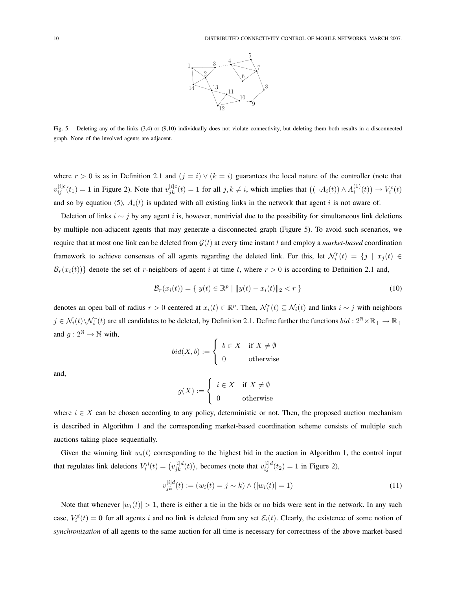

Fig. 5. Deleting any of the links (3,4) or (9,10) individually does not violate connectivity, but deleting them both results in a disconnected graph. None of the involved agents are adjacent.

where  $r > 0$  is as in Definition 2.1 and  $(j = i) \vee (k = i)$  guarantees the local nature of the controller (note that  $v_{ij}^{[i]c}(t_1) = 1$  in Figure 2). Note that  $v_{jk}^{[i]c}(t) = 1$  for all  $j, k \neq i$ , which implies that  $((\neg A_i(t)) \wedge A_i^{(1)}(t))$ ¢  $\rightarrow V_i^c(t)$ and so by equation (5),  $A_i(t)$  is updated with all existing links in the network that agent i is not aware of.

Deletion of links  $i \sim j$  by any agent i is, however, nontrivial due to the possibility for simultaneous link deletions by multiple non-adjacent agents that may generate a disconnected graph (Figure 5). To avoid such scenarios, we require that at most one link can be deleted from  $\mathcal{G}(t)$  at every time instant t and employ a *market-based* coordination framework to achieve consensus of all agents regarding the deleted link. For this, let  $\mathcal{N}_i^r(t) = \{j \mid x_j(t) \in$  $\mathcal{B}_r(x_i(t))$  denote the set of r-neighbors of agent i at time t, where  $r > 0$  is according to Definition 2.1 and,

$$
\mathcal{B}_r(x_i(t)) = \{ y(t) \in \mathbb{R}^p \mid ||y(t) - x_i(t)||_2 < r \}
$$
\n(10)

denotes an open ball of radius  $r > 0$  centered at  $x_i(t) \in \mathbb{R}^p$ . Then,  $\mathcal{N}_i^r(t) \subseteq \mathcal{N}_i(t)$  and links  $i \sim j$  with neighbors  $j \in \mathcal{N}_i(t) \setminus \mathcal{N}_i^r(t)$  are all candidates to be deleted, by Definition 2.1. Define further the functions  $bid: 2^{\mathbb{N}} \times \mathbb{R}_+ \to \mathbb{R}_+$ and  $g: 2^{\mathbb{N}} \to \mathbb{N}$  with,  $\overline{a}$ 

$$
bid(X, b) := \begin{cases} b \in X & \text{if } X \neq \emptyset \\ 0 & \text{otherwise} \end{cases}
$$

and,

$$
g(X) := \begin{cases} i \in X & \text{if } X \neq \emptyset \\ 0 & \text{otherwise} \end{cases}
$$

where  $i \in X$  can be chosen according to any policy, deterministic or not. Then, the proposed auction mechanism is described in Algorithm 1 and the corresponding market-based coordination scheme consists of multiple such auctions taking place sequentially.

Given the winning link  $w_i(t)$  corresponding to the highest bid in the auction in Algorithm 1, the control input that regulates link deletions  $V_i^d(t) = (v_{jk}^{[i]d}(t))$ ¢ , becomes (note that  $v_{ij}^{[i]d}(t_2) = 1$  in Figure 2),

$$
v_{jk}^{[i]d}(t) := (w_i(t) = j \sim k) \land (|w_i(t)| = 1)
$$
\n(11)

Note that whenever  $|w_i(t)| > 1$ , there is either a tie in the bids or no bids were sent in the network. In any such case,  $V_i^d(t) = 0$  for all agents i and no link is deleted from any set  $\mathcal{E}_i(t)$ . Clearly, the existence of some notion of *synchronization* of all agents to the same auction for all time is necessary for correctness of the above market-based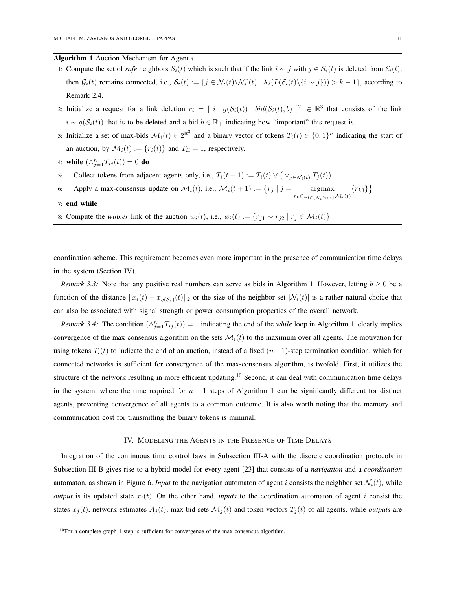## **Algorithm 1** Auction Mechanism for Agent  $i$

- 1: Compute the set of *safe* neighbors  $S_i(t)$  which is such that if the link  $i \sim j$  with  $j \in S_i(t)$  is deleted from  $\mathcal{E}_i(t)$ , then  $G_i(t)$  remains connected, i.e.,  $S_i(t) := \{j \in \mathcal{N}_i(t) \setminus \mathcal{N}_i^r(t) \mid \lambda_2(L(\mathcal{E}_i(t) \setminus \{i \sim j\})) > k - 1\}$ , according to Remark 2.4.
- 2: Initialize a request for a link deletion  $r_i = [i \ g(\mathcal{S}_i(t)) \ bid(\mathcal{S}_i(t), b)]^T \in \mathbb{R}^3$  that consists of the link  $i \sim g(\mathcal{S}_i(t))$  that is to be deleted and a bid  $b \in \mathbb{R}_+$  indicating how "important" this request is.
- 3: Initialize a set of max-bids  $\mathcal{M}_i(t) \in 2^{\mathbb{R}^3}$  and a binary vector of tokens  $T_i(t) \in \{0,1\}^n$  indicating the start of an auction, by  $\mathcal{M}_i(t) := \{r_i(t)\}\$ and  $T_{ii} = 1$ , respectively.
- 4: while  $(\wedge_{j=1}^{n} T_{ij}(t)) = 0$  do
- 5: Collect tokens from adjacent agents only, i.e.,  $T_i(t+1) := T_i(t) \vee$ ¡  $\vee_{j\in\mathcal{N}_i(t)} T_j(t)$ ¢
- 6: Apply a max-consensus update on  $\mathcal{M}_i(t)$ , i.e.,  $\mathcal{M}_i(t+1) := \{r_j | j = \text{argmax}\}$  $r_k \in \bigcup_{l \in \{\mathcal{N}_i(t),i\}} \mathcal{M}_l(t)$  ${r_{k3}}$ ª
- 7: end while
- 8: Compute the *winner* link of the auction  $w_i(t)$ , i.e.,  $w_i(t) := \{r_{j1} \sim r_{j2} \mid r_j \in \mathcal{M}_i(t)\}\$

coordination scheme. This requirement becomes even more important in the presence of communication time delays in the system (Section IV).

*Remark 3.3:* Note that any positive real numbers can serve as bids in Algorithm 1. However, letting  $b \ge 0$  be a function of the distance  $||x_i(t) - x_{g(S_i)}(t)||_2$  or the size of the neighbor set  $|\mathcal{N}_i(t)|$  is a rather natural choice that can also be associated with signal strength or power consumption properties of the overall network.

*Remark 3.4:* The condition  $(\wedge_{j=1}^{n} T_{ij}(t)) = 1$  indicating the end of the *while* loop in Algorithm 1, clearly implies convergence of the max-consensus algorithm on the sets  $\mathcal{M}_i(t)$  to the maximum over all agents. The motivation for using tokens  $T_i(t)$  to indicate the end of an auction, instead of a fixed  $(n-1)$ -step termination condition, which for connected networks is sufficient for convergence of the max-consensus algorithm, is twofold. First, it utilizes the structure of the network resulting in more efficient updating.<sup>10</sup> Second, it can deal with communication time delays in the system, where the time required for  $n - 1$  steps of Algorithm 1 can be significantly different for distinct agents, preventing convergence of all agents to a common outcome. It is also worth noting that the memory and communication cost for transmitting the binary tokens is minimal.

## IV. MODELING THE AGENTS IN THE PRESENCE OF TIME DELAYS

Integration of the continuous time control laws in Subsection III-A with the discrete coordination protocols in Subsection III-B gives rise to a hybrid model for every agent [23] that consists of a *navigation* and a *coordination* automaton, as shown in Figure 6. *Input* to the navigation automaton of agent i consists the neighbor set  $\mathcal{N}_i(t)$ , while *output* is its updated state  $x_i(t)$ . On the other hand, *inputs* to the coordination automaton of agent i consist the states  $x_j(t)$ , network estimates  $A_j(t)$ , max-bid sets  $\mathcal{M}_j(t)$  and token vectors  $T_j(t)$  of all agents, while *outputs* are

<sup>&</sup>lt;sup>10</sup>For a complete graph 1 step is sufficient for convergence of the max-consensus algorithm.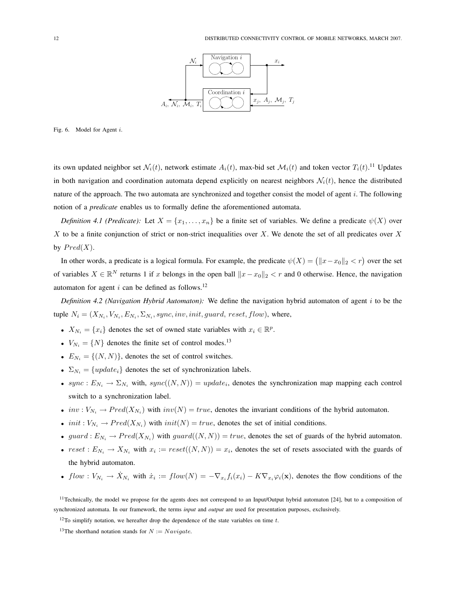

Fig. 6. Model for Agent i.

its own updated neighbor set  $\mathcal{N}_i(t)$ , network estimate  $A_i(t)$ , max-bid set  $\mathcal{M}_i(t)$  and token vector  $T_i(t)$ .<sup>11</sup> Updates in both navigation and coordination automata depend explicitly on nearest neighbors  $\mathcal{N}_i(t)$ , hence the distributed nature of the approach. The two automata are synchronized and together consist the model of agent i. The following notion of a *predicate* enables us to formally define the aforementioned automata.

*Definition 4.1 (Predicate):* Let  $X = \{x_1, \ldots, x_n\}$  be a finite set of variables. We define a predicate  $\psi(X)$  over X to be a finite conjunction of strict or non-strict inequalities over X. We denote the set of all predicates over X by  $Pred(X)$ .

In other words, a predicate is a logical formula. For example, the predicate  $\psi(X) = (||x - x_0||_2 < r)$  over the set of variables  $X \in \mathbb{R}^N$  returns 1 if x belongs in the open ball  $||x - x_0||_2 < r$  and 0 otherwise. Hence, the navigation automaton for agent i can be defined as follows.<sup>12</sup>

*Definition 4.2 (Navigation Hybrid Automaton):* We define the navigation hybrid automaton of agent i to be the tuple  $N_i = (X_{N_i}, V_{N_i}, E_{N_i}, \Sigma_{N_i}, sync, inv, init, guard, reset, flow)$ , where,

- $X_{N_i} = \{x_i\}$  denotes the set of owned state variables with  $x_i \in \mathbb{R}^p$ .
- $V_{N_i} = \{N\}$  denotes the finite set of control modes.<sup>13</sup>
- $E_{N_i} = \{(N, N)\}\text{, denotes the set of control switches.}$
- $\Sigma_{N_i} = \{update_i\}$  denotes the set of synchronization labels.
- sync:  $E_{N_i} \to \Sigma_{N_i}$  with, sync $((N, N)) = update_i$ , denotes the synchronization map mapping each control switch to a synchronization label.
- inv:  $V_{N_i} \to Pred(X_{N_i})$  with inv(N) = true, denotes the invariant conditions of the hybrid automaton.
- *init* :  $V_{N_i} \to Pred(X_{N_i})$  with  $init(N) = true$ , denotes the set of initial conditions.
- guard :  $E_{N_i} \to Pred(X_{N_i})$  with guard $((N, N)) = true$ , denotes the set of guards of the hybrid automaton.
- $reset : E_{N_i} \to X_{N_i}$  with  $x_i := reset((N, N)) = x_i$ , denotes the set of resets associated with the guards of the hybrid automaton.
- $flow: V_{N_i} \to X_{N_i}$  with  $\dot{x}_i := flow(N) = -\nabla_{x_i} f_i(x_i) K \nabla_{x_i} \varphi_i(\mathbf{x})$ , denotes the flow conditions of the

<sup>11</sup>Technically, the model we propose for the agents does not correspond to an Input/Output hybrid automaton [24], but to a composition of synchronized automata. In our framework, the terms *input* and *output* are used for presentation purposes, exclusively.

 $12$ To simplify notation, we hereafter drop the dependence of the state variables on time t.

<sup>&</sup>lt;sup>13</sup>The shorthand notation stands for  $N := Navigate$ .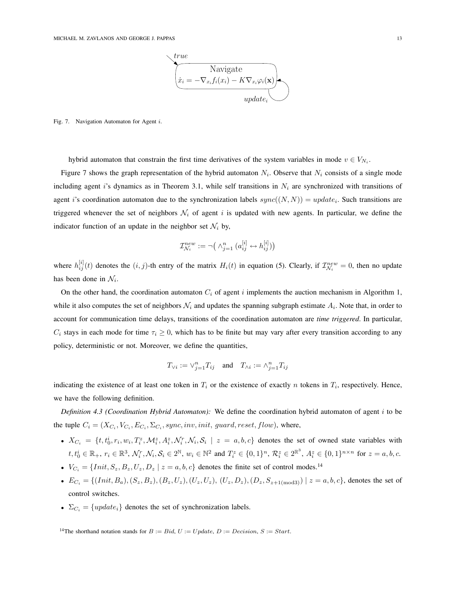

Fig. 7. Navigation Automaton for Agent i.

hybrid automaton that constrain the first time derivatives of the system variables in mode  $v \in V_{N_i}$ .

Figure 7 shows the graph representation of the hybrid automaton  $N_i$ . Observe that  $N_i$  consists of a single mode including agent i's dynamics as in Theorem 3.1, while self transitions in  $N_i$  are synchronized with transitions of agent i's coordination automaton due to the synchronization labels  $sync((N, N)) = update_i$ . Such transitions are triggered whenever the set of neighbors  $\mathcal{N}_i$  of agent i is updated with new agents. In particular, we define the indicator function of an update in the neighbor set  $\mathcal{N}_i$  by,

$$
\mathcal{I}_{\mathcal{N}_i}^{new} := \neg \big( \wedge_{j=1}^n \big( a_{ij}^{[i]} \leftrightarrow h_{ij}^{[i]} \big) \big)
$$

where  $h_{ij}^{[i]}(t)$  denotes the  $(i, j)$ -th entry of the matrix  $H_i(t)$  in equation (5). Clearly, if  $\mathcal{I}_{\mathcal{N}_i}^{new} = 0$ , then no update has been done in  $\mathcal{N}_i$ .

On the other hand, the coordination automaton  $C_i$  of agent i implements the auction mechanism in Algorithm 1, while it also computes the set of neighbors  $\mathcal{N}_i$  and updates the spanning subgraph estimate  $A_i$ . Note that, in order to account for communication time delays, transitions of the coordination automaton are *time triggered*. In particular,  $C_i$  stays in each mode for time  $\tau_i \geq 0$ , which has to be finite but may vary after every transition according to any policy, deterministic or not. Moreover, we define the quantities,

$$
T_{\vee i} := \vee_{j=1}^{n} T_{ij} \quad \text{and} \quad T_{\wedge i} := \wedge_{j=1}^{n} T_{ij}
$$

indicating the existence of at least one token in  $T_i$  or the existence of exactly n tokens in  $T_i$ , respectively. Hence, we have the following definition.

*Definition 4.3 (Coordination Hybrid Automaton):* We define the coordination hybrid automaton of agent i to be the tuple  $C_i = (X_{C_i}, V_{C_i}, E_{C_i}, \Sigma_{C_i}, sync, inv, init, guard, reset, flow)$ , where,

- $X_{C_i} = \{t, t_0^i, r_i, w_i, T_i^z, \mathcal{M}_i^z, A_i^z, \mathcal{N}_i^r, \mathcal{N}_i, \mathcal{S}_i \mid z = a, b, c\}$  denotes the set of owned state variables with  $t, t_0^i \in \mathbb{R}_+$ ,  $r_i \in \mathbb{R}^3$ ,  $\mathcal{N}_i^r, \mathcal{N}_i, \mathcal{S}_i \in 2^{\mathbb{N}}$ ,  $w_i \in \mathbb{N}^2$  and  $T_i^z \in \{0, 1\}^n$ ,  $\mathcal{R}_i^z \in 2^{\mathbb{R}^3}$ ,  $A_i^z \in \{0, 1\}^{n \times n}$  for  $z = a, b, c$ .
- $V_{C_i} = \{Init, S_z, B_z, U_z, D_z \mid z = a, b, c \}$  denotes the finite set of control modes.<sup>14</sup>
- $E_{C_i} = \{ (Init, B_a), (S_z, B_z), (B_z, U_z), (U_z, U_z), (U_z, D_z), (D_z, S_{z+1 \text{(mod3)}}) \mid z = a, b, c \}$ , denotes the set of control switches.
- $\Sigma_{C_i} = \{update_i\}$  denotes the set of synchronization labels.

<sup>14</sup>The shorthand notation stands for  $B := Bid$ ,  $U := Update$ ,  $D := Decision$ ,  $S := Start$ .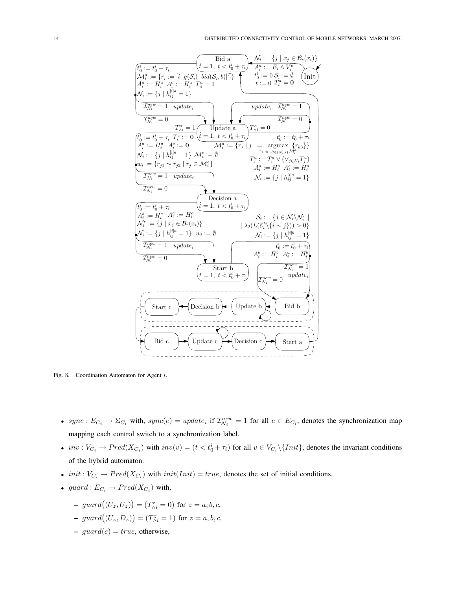

Fig. 8. Coordination Automaton for Agent i.

- sync :  $E_{C_i} \to \Sigma_{C_i}$  with,  $sync(e) = update_i$  if  $\mathcal{I}_{\mathcal{N}_i}^{new} = 1$  for all  $e \in E_{C_i}$ , denotes the synchronization map mapping each control switch to a synchronization label.
- $inv: V_{C_i} \to Pred(X_{C_i})$  with  $inv(v) = (t < t_0^i + \tau_i)$  for all  $v \in V_{C_i} \setminus \{Init\}$ , denotes the invariant conditions of the hybrid automaton.
- *init* :  $V_{C_i} \to Pred(X_{C_i})$  with  $init(Init) = true$ , denotes the set of initial conditions.
- guard :  $E_{C_i} \to Pred(X_{C_i})$  with,
	- $\hspace{0.1 cm}$  guard $((U_z, U_z))$ ¢  $=(T_{\wedge i}^{z}=0)$  for  $z=a,b,c,$
	- $\hspace{-.6cm}-$  guard $((U_z, D_z))$  $\tilde{\mathcal{L}}$  $=(T_{\wedge i}^{z}=1)$  for  $z=a,b,c,$
	- $guard(e) = true$ , otherwise,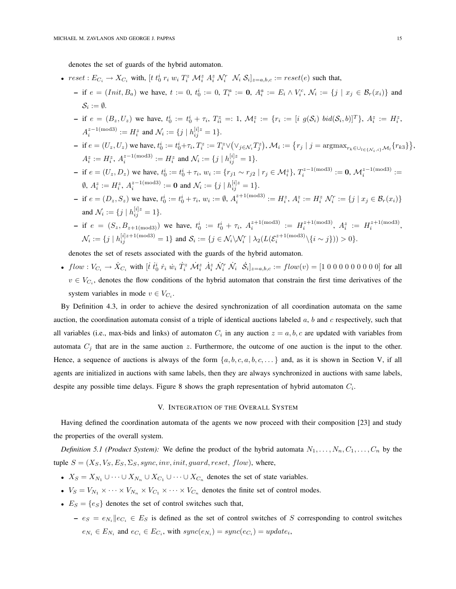denotes the set of guards of the hybrid automaton.

- $reset : E_{C_i} \to X_{C_i}$  with,  $[t \, t_0^i \, r_i \, w_i \, T_i^z \, \mathcal{M}_i^z \, A_i^z \, \mathcal{N}_i^r \, N_i \, \mathcal{S}_i]_{z=a,b,c} := reset(e)$  such that,
	- if  $e = (Init, B_a)$  we have,  $t := 0$ ,  $t_0^i := 0$ ,  $T_i^a := 0$ ,  $A_i^a := E_i \wedge V_i^c$ ,  $\mathcal{N}_i := \{j \mid x_j \in \mathcal{B}_r(x_i)\}\$  and  $\mathcal{S}_i := \emptyset.$
	- if  $e = (B_z, U_z)$  we have,  $t_0^i := t_0^i + \tau_i$ ,  $T_{ii}^z =: 1$ ,  $\mathcal{M}_i^z := \{r_i := [i \ g(\mathcal{S}_i) \ bi d(\mathcal{S}_i, b)]^T\}$ ,  $A_i^z := H_i^z$ ,  $A_i^{z-1 \text{(mod 3)}} := H_i^z$  and  $\mathcal{N}_i := \{j \mid h_{ij}^{[i]z} = 1\}.$
	- if  $e = (U_z, U_z)$  we have,  $t_0^i := t_0^i + \tau_i$ ,  $T_i^z := T_i^z \vee$ ¡  $\vee_{j\in\mathcal{N}_i}T_j^z$ ¢ ,  $M_i := \{ r_j \mid j = \text{argmax}_{r_k \in \bigcup_{l \in \{N_i, i\}} M_l} \{ r_{k3} \}$ ª ,  $A_i^z := H_i^z$ ,  $A_i^{z-1 \text{(mod 3)}} := H_i^z$  and  $\mathcal{N}_i := \{j \mid h_{ij}^{[i]z} = 1\}.$
	- if  $e = (U_z, D_z)$  we have,  $t_0^i := t_0^i + \tau_i$ ,  $w_i := \{r_{j1} \sim r_{j2} \mid r_j \in \mathcal{M}_i^z\}$ ,  $T_i^{z-1 \text{(mod3)}} := 0$ ,  $\mathcal{M}_i^{z-1 \text{(mod3)}} := 0$  $\emptyset$ ,  $A_i^z := H_i^z$ ,  $A_i^{z-1 \pmod{3}} := \mathbf{0}$  and  $\mathcal{N}_i := \{j \mid h_{ij}^{[i]z} = 1\}.$
	- if  $e = (D_z, S_z)$  we have,  $t_0^i := t_0^i + \tau_i$ ,  $w_i := \emptyset$ ,  $A_i^{z+1 \text{(mod 3)}} := H_i^z$ ,  $A_i^z := H_i^z \mathcal{N}_i^r := \{j \mid x_j \in \mathcal{B}_r(x_i)\}\$ and  $\mathcal{N}_i := \{ j \mid h_{ij}^{[i]z} = 1 \}.$
	- if  $e = (S_z, B_{z+1 \pmod{3}})$  we have,  $t_0^i := t_0^i + \tau_i$ ,  $A_i^{z+1 \pmod{3}} := H_i^{z+1 \pmod{3}}$ ,  $A_i^z := H_i^{z+1 \pmod{3}}$ ,  $\mathcal{N}_i := \{j \mid h_{ij}^{[i]z+1 \text{(mod 3)}} = 1\}$  and  $\mathcal{S}_i := \{j \in \mathcal{N}_i \setminus \mathcal{N}_i^r \mid \lambda_2(L(\mathcal{E}_i^{z+1 \text{(mod 3)}} \setminus \{i \sim j\})) > 0\}.$

denotes the set of resets associated with the guards of the hybrid automaton.

•  $flow: V_{C_i} \to \dot{X}_{C_i}$  with  $[\dot{t} \; \dot{t}_0^i \; \dot{r}_i \; \dot{w}_i \; \dot{T}_i^z \; \dot{\mathcal{M}}_i^z \; \dot{A}_i^z \; \dot{\mathcal{N}}_i^r \; \dot{\mathcal{N}}_i \; \; \dot{\mathcal{S}}_i]_{z=a,b,c} := flow(v) = [1 \; 0 \; 0 \; 0 \; 0 \; 0 \; 0 \; 0 \; 0]$  for all  $v \in V_{C_i}$ , denotes the flow conditions of the hybrid automaton that constrain the first time derivatives of the system variables in mode  $v \in V_{C_i}$ .

By Definition 4.3, in order to achieve the desired synchronization of all coordination automata on the same auction, the coordination automata consist of a triple of identical auctions labeled  $a, b$  and  $c$  respectively, such that all variables (i.e., max-bids and links) of automaton  $C_i$  in any auction  $z = a, b, c$  are updated with variables from automata  $C_j$  that are in the same auction z. Furthermore, the outcome of one auction is the input to the other. Hence, a sequence of auctions is always of the form  $\{a, b, c, a, b, c, \ldots\}$  and, as it is shown in Section V, if all agents are initialized in auctions with same labels, then they are always synchronized in auctions with same labels, despite any possible time delays. Figure 8 shows the graph representation of hybrid automaton  $C_i$ .

## V. INTEGRATION OF THE OVERALL SYSTEM

Having defined the coordination automata of the agents we now proceed with their composition [23] and study the properties of the overall system.

*Definition 5.1 (Product System):* We define the product of the hybrid automata  $N_1, \ldots, N_n, C_1, \ldots, C_n$  by the tuple  $S = (X_S, V_S, E_S, \Sigma_S, sync, inv, init, guard, reset, flow)$ , where,

- $X_S = X_{N_1} \cup \cdots \cup X_{N_n} \cup X_{C_1} \cup \cdots \cup X_{C_n}$  denotes the set of state variables.
- $V_S = V_{N_1} \times \cdots \times V_{N_n} \times V_{C_1} \times \cdots \times V_{C_n}$  denotes the finite set of control modes.
- $E_S = \{e_S\}$  denotes the set of control switches such that,
	- $e_S = e_{N_i} || e_{C_i} \in E_S$  is defined as the set of control switches of S corresponding to control switches  $e_{N_i} \in E_{N_i}$  and  $e_{C_i} \in E_{C_i}$ , with  $sync(e_{N_i}) = sync(e_{C_i}) = update_i$ ,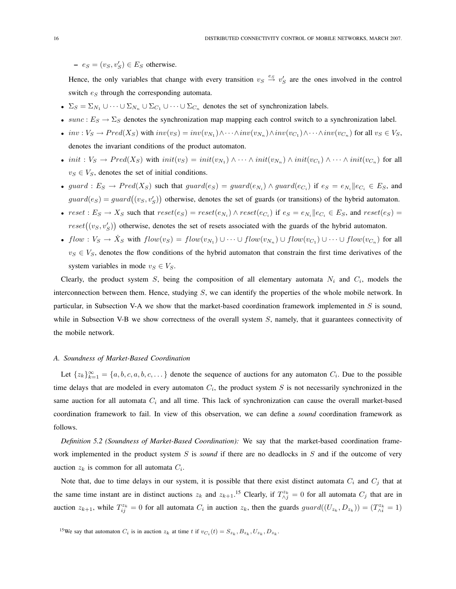$- e_S = (v_S, v_S') \in E_S$  otherwise.

Hence, the only variables that change with every transition  $v_S \stackrel{es}{\to} v'_S$  are the ones involved in the control switch  $e_S$  through the corresponding automata.

- $\Sigma_S = \Sigma_{N_1} \cup \cdots \cup \Sigma_{N_n} \cup \Sigma_{C_1} \cup \cdots \cup \Sigma_{C_n}$  denotes the set of synchronization labels.
- sunc :  $E_S \rightarrow \Sigma_S$  denotes the synchronization map mapping each control switch to a synchronization label.
- inv:  $V_S \to Pred(X_S)$  with  $inv(v_S) = inv(v_{N_1}) \wedge \cdots \wedge inv(v_{N_n}) \wedge inv(v_{C_1}) \wedge \cdots \wedge inv(v_{C_n})$  for all  $v_S \in V_S$ , denotes the invariant conditions of the product automaton.
- init :  $V_S \to Pred(X_S)$  with  $init(v_S) = init(v_{N_1}) \wedge \cdots \wedge init(v_{N_n}) \wedge init(v_{C_1}) \wedge \cdots \wedge init(v_{C_n})$  for all  $v_S \in V_S$ , denotes the set of initial conditions.
- guard :  $E_S \to Pred(X_S)$  such that  $guard(e_S) = guard(e_{N_i}) \land guard(e_{C_i})$  if  $e_S = e_{N_i} || e_{C_i} \in E_S$ , and  $guard(e_S) = guard((v_S, v_S')$ ¢ otherwise, denotes the set of guards (or transitions) of the hybrid automaton.
- $reset : E_S \to X_S$  such that  $reset(e_S) = reset(e_{N_i}) \land reset(e_{C_i})$  if  $e_S = e_{N_i} || e_{C_i} \in E_S$ , and  $reset(e_S) =$  $reset((v_S, v_S')$ ¢ otherwise, denotes the set of resets associated with the guards of the hybrid automaton.
- $flow: V_S \to \dot{X}_S$  with  $flow(v_S) = flow(v_{N_1}) \cup \cdots \cup flow(v_{N_n}) \cup flow(v_{C_1}) \cup \cdots \cup flow(v_{C_n})$  for all  $v_S \in V_S$ , denotes the flow conditions of the hybrid automaton that constrain the first time derivatives of the system variables in mode  $v_S \in V_S$ .

Clearly, the product system S, being the composition of all elementary automata  $N_i$  and  $C_i$ , models the interconnection between them. Hence, studying S, we can identify the properties of the whole mobile network. In particular, in Subsection V-A we show that the market-based coordination framework implemented in S is sound, while in Subsection V-B we show correctness of the overall system  $S$ , namely, that it guarantees connectivity of the mobile network.

## *A. Soundness of Market-Based Coordination*

Let  $\{z_k\}_{k=1}^{\infty} = \{a, b, c, a, b, c, \dots\}$  denote the sequence of auctions for any automaton  $C_i$ . Due to the possible time delays that are modeled in every automaton  $C_i$ , the product system S is not necessarily synchronized in the same auction for all automata  $C_i$  and all time. This lack of synchronization can cause the overall market-based coordination framework to fail. In view of this observation, we can define a *sound* coordination framework as follows.

*Definition 5.2 (Soundness of Market-Based Coordination):* We say that the market-based coordination framework implemented in the product system S is *sound* if there are no deadlocks in S and if the outcome of very auction  $z_k$  is common for all automata  $C_i$ .

Note that, due to time delays in our system, it is possible that there exist distinct automata  $C_i$  and  $C_j$  that at the same time instant are in distinct auctions  $z_k$  and  $z_{k+1}$ .<sup>15</sup> Clearly, if  $T^{z_k}_{\wedge j} = 0$  for all automata  $C_j$  that are in auction  $z_{k+1}$ , while  $T_{ij}^{z_k} = 0$  for all automata  $C_i$  in auction  $z_k$ , then the guards  $guard((U_{z_k}, D_{z_k})) = (T_{\wedge i}^{z_k} = 1)$ 

<sup>15</sup>We say that automaton  $C_i$  is in auction  $z_k$  at time t if  $v_{C_i}(t) = S_{z_k}, B_{z_k}, U_{z_k}, D_{z_k}$ .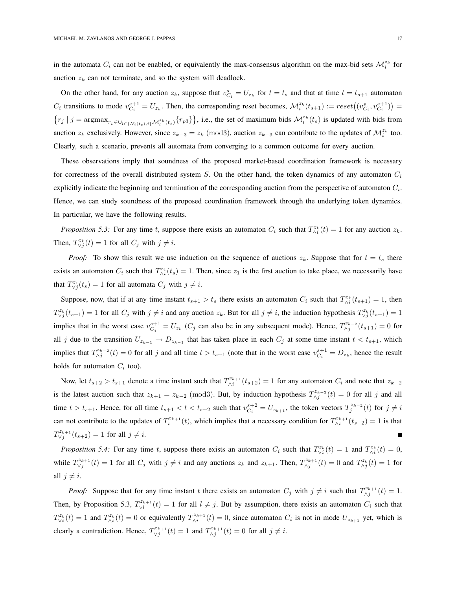in the automata  $C_i$  can not be enabled, or equivalently the max-consensus algorithm on the max-bid sets  $\mathcal{M}_i^{z_k}$  for auction  $z_k$  can not terminate, and so the system will deadlock.

On the other hand, for any auction  $z_k$ , suppose that  $v_{C_i}^s = U_{z_k}$  for  $t = t_s$  and that at time  $t = t_{s+1}$  automaton  $C_i$  transitions to mode  $v_{C_i}^{s+1} = U_{z_k}$ . Then, the corresponding reset becomes,  $\mathcal{M}_i^{z_k}(t_{s+1}) := reset((v_{C_i}^s, v_{C_i}^{s+1})$ ¢ = ©  $r_j | j = \mathrm{argmax}_{r_p \in \bigcup_{l \in \{N_i(t_s), i\}} \mathcal{M}_l^{z_k}(t_s)} \{r_{p3}\}\$ }, i.e., the set of maximum bids  $\mathcal{M}^{z_k}_i(t_s)$  is updated with bids from auction  $z_k$  exclusively. However, since  $z_{k-3} = z_k \pmod{3}$ , auction  $z_{k-3}$  can contribute to the updates of  $\mathcal{M}_i^{z_k}$  too. Clearly, such a scenario, prevents all automata from converging to a common outcome for every auction.

These observations imply that soundness of the proposed market-based coordination framework is necessary for correctness of the overall distributed system S. On the other hand, the token dynamics of any automaton  $C_i$ explicitly indicate the beginning and termination of the corresponding auction from the perspective of automaton  $C_i$ . Hence, we can study soundness of the proposed coordination framework through the underlying token dynamics. In particular, we have the following results.

*Proposition 5.3:* For any time t, suppose there exists an automaton  $C_i$  such that  $T_{\wedge i}^{z_k}(t) = 1$  for any auction  $z_k$ . Then,  $T^{z_k}_{\forall j}(t) = 1$  for all  $C_j$  with  $j \neq i$ .

*Proof:* To show this result we use induction on the sequence of auctions  $z_k$ . Suppose that for  $t = t_s$  there exists an automaton  $C_i$  such that  $T_{\lambda i}^{z_1}(t_s) = 1$ . Then, since  $z_1$  is the first auction to take place, we necessarily have that  $T^{z_1}_{\vee j}(t_s) = 1$  for all automata  $C_j$  with  $j \neq i$ .

Suppose, now, that if at any time instant  $t_{s+1} > t_s$  there exists an automaton  $C_i$  such that  $T_{\wedge i}^{z_k}(t_{s+1}) = 1$ , then  $T^{z_k}_{\vee j}(t_{s+1}) = 1$  for all  $C_j$  with  $j \neq i$  and any auction  $z_k$ . But for all  $j \neq i$ , the induction hypothesis  $T^{z_k}_{\vee j}(t_{s+1}) = 1$ implies that in the worst case  $v_{C_j}^{s+1} = U_{z_k}$  ( $C_j$  can also be in any subsequent mode). Hence,  $T_{\wedge j}^{z_{k-2}}(t_{s+1}) = 0$  for all j due to the transition  $U_{z_{k-1}} \to D_{z_{k-1}}$  that has taken place in each  $C_j$  at some time instant  $t < t_{s+1}$ , which implies that  $T_{\wedge j}^{z_{k-2}}(t) = 0$  for all j and all time  $t > t_{s+1}$  (note that in the worst case  $v_{C_i}^{s+1} = D_{z_k}$ , hence the result holds for automaton  $C_i$  too).

Now, let  $t_{s+2} > t_{s+1}$  denote a time instant such that  $T_{\wedge i}^{z_{k+1}}(t_{s+2}) = 1$  for any automaton  $C_i$  and note that  $z_{k-2}$ is the latest auction such that  $z_{k+1} = z_{k-2} \pmod{3}$ . But, by induction hypothesis  $T_{\wedge j}^{z_{k-2}}(t) = 0$  for all j and all time  $t > t_{s+1}$ . Hence, for all time  $t_{s+1} < t < t_{s+2}$  such that  $v_{C_i}^{s+2} = U_{z_{k+1}}$ , the token vectors  $T_j^{z_{k-2}}(t)$  for  $j \neq i$ can not contribute to the updates of  $T_i^{z_{k+1}}(t)$ , which implies that a necessary condition for  $T_{\wedge i}^{z_{k+1}}(t_{s+2}) = 1$  is that  $T^{z_{k+1}}_{\vee j}(t_{s+2}) = 1$  for all  $j \neq i$ .

*Proposition 5.4:* For any time t, suppose there exists an automaton  $C_i$  such that  $T_{\vee i}^{z_k}(t) = 1$  and  $T_{\wedge i}^{z_k}(t) = 0$ , while  $T^{z_{k+1}}_{\vee j}(t) = 1$  for all  $C_j$  with  $j \neq i$  and any auctions  $z_k$  and  $z_{k+1}$ . Then,  $T^{z_{k+1}}_{\wedge j}(t) = 0$  and  $T^{z_k}_{\wedge j}(t) = 1$  for all  $j \neq i$ .

*Proof:* Suppose that for any time instant t there exists an automaton  $C_j$  with  $j \neq i$  such that  $T_{\wedge j}^{z_{k+1}}(t) = 1$ . Then, by Proposition 5.3,  $T_{\vee l}^{z_{k+1}}(t) = 1$  for all  $l \neq j$ . But by assumption, there exists an automaton  $C_i$  such that  $T^{z_k}_{\forall i}(t) = 1$  and  $T^{z_k}_{\land i}(t) = 0$  or equivalently  $T^{z_{k+1}}_{\land i}(t) = 0$ , since automaton  $C_i$  is not in mode  $U_{z_{k+1}}$  yet, which is clearly a contradiction. Hence,  $T_{\vee j}^{z_{k+1}}(t) = 1$  and  $T_{\wedge j}^{z_{k+1}}(t) = 0$  for all  $j \neq i$ .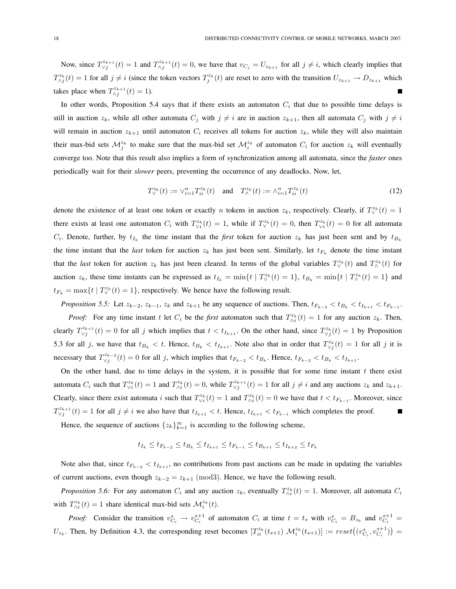Now, since  $T_{\vee j}^{z_{k+1}}(t) = 1$  and  $T_{\wedge j}^{z_{k+1}}(t) = 0$ , we have that  $v_{C_j} = U_{z_{k+1}}$  for all  $j \neq i$ , which clearly implies that  $T_{\wedge j}^{z_k}(t) = 1$  for all  $j \neq i$  (since the token vectors  $T_j^{z_k}(t)$  are reset to zero with the transition  $U_{z_{k+1}} \to D_{z_{k+1}}$  which takes place when  $T_{\wedge j}^{z_{k+1}}(t) = 1$ ).

In other words, Proposition 5.4 says that if there exists an automaton  $C_i$  that due to possible time delays is still in auction  $z_k$ , while all other automata  $C_j$  with  $j \neq i$  are in auction  $z_{k+1}$ , then all automata  $C_j$  with  $j \neq i$ will remain in auction  $z_{k+1}$  until automaton  $C_i$  receives all tokens for auction  $z_k$ , while they will also maintain their max-bid sets  $M_j^{z_k}$  to make sure that the max-bid set  $M_i^{z_k}$  of automaton  $C_i$  for auction  $z_k$  will eventually converge too. Note that this result also implies a form of synchronization among all automata, since the *faster* ones periodically wait for their *slower* peers, preventing the occurrence of any deadlocks. Now, let,

$$
T_{\vee}^{z_k}(t) := \vee_{i=1}^n T_{ii}^{z_k}(t) \quad \text{and} \quad T_{\wedge}^{z_k}(t) := \wedge_{i=1}^n T_{ii}^{z_k}(t) \tag{12}
$$

denote the existence of at least one token or exactly *n* tokens in auction  $z_k$ , respectively. Clearly, if  $T_V^{z_k}(t) = 1$ there exists at least one automaton  $C_i$  with  $T_{\vee i}^{z_k}(t) = 1$ , while if  $T_{\vee}^{z_k}(t) = 0$ , then  $T_{\vee i}^{z_k}(t) = 0$  for all automata  $C_i$ . Denote, further, by  $t_{I_k}$  the time instant that the *first* token for auction  $z_k$  has just been sent and by  $t_{B_k}$ the time instant that the *last* token for auction  $z_k$  has just been sent. Similarly, let  $t_{F_k}$  denote the time instant that the *last* token for auction  $z_k$  has just been cleared. In terms of the global variables  $T_\vee^{z_k}(t)$  and  $T_\wedge^{z_k}(t)$  for auction  $z_k$ , these time instants can be expressed as  $t_{I_k} = \min\{t \mid T_\vee^{z_k}(t) = 1\}$ ,  $t_{B_k} = \min\{t \mid T_\wedge^{z_k}(t) = 1\}$  and  $t_{F_k} = \max\{t \mid T_{\vee}^{z_k}(t) = 1\}$ , respectively. We hence have the following result.

*Proposition 5.5:* Let  $z_{k-2}$ ,  $z_{k-1}$ ,  $z_k$  and  $z_{k+1}$  be any sequence of auctions. Then,  $t_{F_{k-2}} < t_{B_k} < t_{I_{k+1}} < t_{F_{k-1}}$ . *Proof:* For any time instant t let  $C_i$  be the *first* automaton such that  $T_{\wedge i}^{z_k}(t) = 1$  for any auction  $z_k$ . Then, clearly  $T_{\vee j}^{z_{k+1}}(t) = 0$  for all j which implies that  $t < t_{I_{k+1}}$ . On the other hand, since  $T_{\vee j}^{z_k}(t) = 1$  by Proposition 5.3 for all j, we have that  $t_{B_k} < t$ . Hence,  $t_{B_k} < t_{I_{k+1}}$ . Note also that in order that  $T^{z_k}_{\forall j}(t) = 1$  for all j it is necessary that  $T^{z_{k-2}}_{\vee j}(t) = 0$  for all j, which implies that  $t_{F_{k-2}} < t_{B_k}$ . Hence,  $t_{F_{k-2}} < t_{B_k} < t_{I_{k+1}}$ .

On the other hand, due to time delays in the system, it is possible that for some time instant  $t$  there exist automata  $C_i$  such that  $T_{\vee i}^{z_k}(t) = 1$  and  $T_{\wedge i}^{z_k}(t) = 0$ , while  $T_{\vee j}^{z_{k+1}}(t) = 1$  for all  $j \neq i$  and any auctions  $z_k$  and  $z_{k+1}$ . Clearly, since there exist automata i such that  $T_{\vee i}^{z_k}(t) = 1$  and  $T_{\wedge i}^{z_k}(t) = 0$  we have that  $t < t_{F_{k-1}}$ . Moreover, since  $T_{\vee j}^{z_{k+1}}(t) = 1$  for all  $j \neq i$  we also have that  $t_{I_{k+1}} < t$ . Hence,  $t_{I_{k+1}} < t_{F_{k-1}}$  which completes the proof.

Hence, the sequence of auctions  $\{z_k\}_{k=1}^{\infty}$  is according to the following scheme,

$$
t_{I_k} \le t_{F_{k-2}} \le t_{B_k} \le t_{I_{k+1}} \le t_{F_{k-1}} \le t_{B_{k+1}} \le t_{I_{k+2}} \le t_{F_k}
$$

Note also that, since  $t_{F_{k-2}} < t_{I_{k+1}}$ , no contributions from past auctions can be made in updating the variables of current auctions, even though  $z_{k-2} = z_{k+1} \pmod{3}$ . Hence, we have the following result.

*Proposition 5.6:* For any automaton  $C_i$  and any auction  $z_k$ , eventually  $T_{\wedge i}^{z_k}(t) = 1$ . Moreover, all automata  $C_i$ with  $T_{\wedge i}^{z_k}(t) = 1$  share identical max-bid sets  $\mathcal{M}_i^{z_k}(t)$ .

*Proof:* Consider the transition  $v_{C_i}^s \to v_{C_i}^{s+1}$  of automaton  $C_i$  at time  $t = t_s$  with  $v_{C_i}^s = B_{z_k}$  and  $v_{C_i}^{s+1} =$  $U_{z_k}$ . Then, by Definition 4.3, the corresponding reset becomes  $[T_{ii}^{z_k}(t_{s+1}) \mathcal{M}_i^{z_k}(t_{s+1})] := reset((v_{C_i}^s, v_{C_i}^{s+1}))$ ¢ =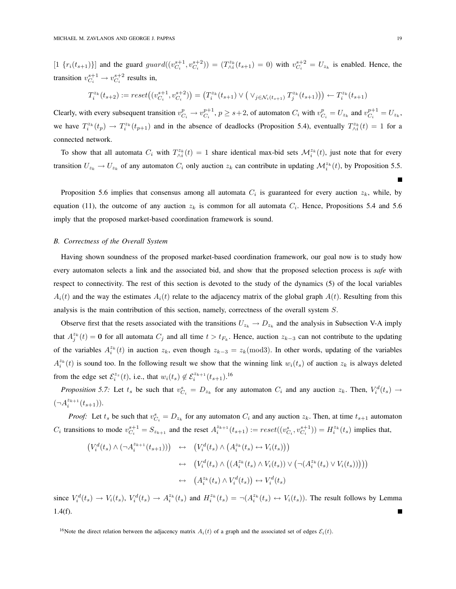$[1 \{r_i(t_{s+1})\}]$  and the guard  $guard((v_{C_i}^{s+1}, v_{C_i}^{s+2})) = (T_{\wedge i}^{z_k}(t_{s+1}) = 0)$  with  $v_{C_i}^{s+2} = U_{z_k}$  is enabled. Hence, the transition  $v_{C_i}^{s+1} \rightarrow v_{C_i}^{s+2}$  results in,

$$
T_i^{z_k}(t_{s+2}):=reset\big((v^{s+1}_{C_i}, v^{s+2}_{C_i})\big) = \big(T_i^{z_k}(t_{s+1}) \vee \big(\vee_{j \in \mathcal{N}_i(t_{s+1})} T_j^{z_k}(t_{s+1})\big)\big) \leftarrow T_i^{z_k}(t_{s+1})
$$

Clearly, with every subsequent transition  $v_{C_i}^p \to v_{C_i}^{p+1}$ ,  $p \ge s+2$ , of automaton  $C_i$  with  $v_{C_i}^p = U_{z_k}$  and  $v_{C_i}^{p+1} = U_{z_k}$ , we have  $T_i^{z_k}(t_p) \to T_i^{z_k}(t_{p+1})$  and in the absence of deadlocks (Proposition 5.4), eventually  $T_{\wedge i}^{z_k}(t) = 1$  for a connected network.

To show that all automata  $C_i$  with  $T_{\wedge i}^{z_k}(t) = 1$  share identical max-bid sets  $\mathcal{M}_i^{z_k}(t)$ , just note that for every transition  $U_{z_k} \to U_{z_k}$  of any automaton  $C_i$  only auction  $z_k$  can contribute in updating  $\mathcal{M}_i^{z_k}(t)$ , by Proposition 5.5.

Proposition 5.6 implies that consensus among all automata  $C_i$  is guaranteed for every auction  $z_k$ , while, by equation (11), the outcome of any auction  $z_k$  is common for all automata  $C_i$ . Hence, Propositions 5.4 and 5.6 imply that the proposed market-based coordination framework is sound.

# *B. Correctness of the Overall System*

Having shown soundness of the proposed market-based coordination framework, our goal now is to study how every automaton selects a link and the associated bid, and show that the proposed selection process is *safe* with respect to connectivity. The rest of this section is devoted to the study of the dynamics (5) of the local variables  $A_i(t)$  and the way the estimates  $A_i(t)$  relate to the adjacency matrix of the global graph  $A(t)$ . Resulting from this analysis is the main contribution of this section, namely, correctness of the overall system S.

Observe first that the resets associated with the transitions  $U_{z_k} \to D_{z_k}$  and the analysis in Subsection V-A imply that  $A_j^{z_k}(t) = \mathbf{0}$  for all automata  $C_j$  and all time  $t > t_{F_k}$ . Hence, auction  $z_{k-3}$  can not contribute to the updating of the variables  $A_i^{z_k}(t)$  in auction  $z_k$ , even though  $z_{k-3} = z_k \pmod{3}$ . In other words, updating of the variables  $A_i^{z_k}(t)$  is sound too. In the following result we show that the winning link  $w_i(t_s)$  of auction  $z_k$  is always deleted from the edge set  $\mathcal{E}_i^{z_s}(t)$ , i.e., that  $w_i(t_s) \notin \mathcal{E}_i^{z_{k+1}}(t_{s+1})$ .<sup>16</sup>

*Proposition 5.7:* Let  $t_s$  be such that  $v_{C_i}^s = D_{z_k}$  for any automaton  $C_i$  and any auction  $z_k$ . Then,  $V_i^d(t_s) \to$  $(\neg A_i^{z_{k+1}}(t_{s+1})).$ 

*Proof:* Let  $t_s$  be such that  $v_{C_i}^s = D_{z_k}$  for any automaton  $C_i$  and any auction  $z_k$ . Then, at time  $t_{s+1}$  automaton  $C_i$  transitions to mode  $v_{C_i}^{s+1} = S_{z_{k+1}}$  and the reset  $A_i^{z_{k+1}}(t_{s+1}) := reset((v_{C_i}^s, v_{C_i}^{s+1})) = H_i^{z_k}(t_s)$  implies that,

$$
\begin{array}{rcl}\n\left(V_i^d(t_s) \wedge (\neg A_i^{z_{k+1}}(t_{s+1}))\right) & \leftrightarrow & \left(V_i^d(t_s) \wedge \left(A_i^{z_k}(t_s) \leftrightarrow V_i(t_s)\right)\right) \\
& \leftrightarrow & \left(V_i^d(t_s) \wedge \left((A_i^{z_k}(t_s) \wedge V_i(t_s)) \vee (\neg (A_i^{z_k}(t_s) \vee V_i(t_s)))\right)\right) \\
& \leftrightarrow & \left(A_i^{z_k}(t_s) \wedge V_i^d(t_s)\right) \leftrightarrow V_i^d(t_s)\n\end{array}
$$

since  $V_i^d(t_s) \to V_i(t_s)$ ,  $V_i^d(t_s) \to A_i^{z_k}(t_s)$  and  $H_i^{z_k}(t_s) = \neg(A_i^{z_k}(t_s) \leftrightarrow V_i(t_s))$ . The result follows by Lemma 1.4(f).

<sup>16</sup>Note the direct relation between the adjacency matrix  $A_i(t)$  of a graph and the associated set of edges  $\mathcal{E}_i(t)$ .

г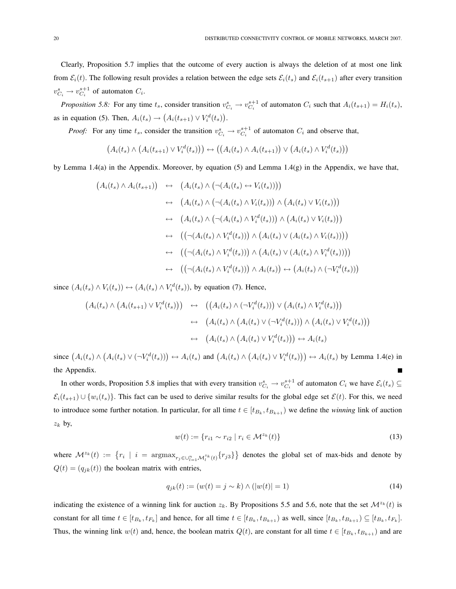Clearly, Proposition 5.7 implies that the outcome of every auction is always the deletion of at most one link from  $\mathcal{E}_i(t)$ . The following result provides a relation between the edge sets  $\mathcal{E}_i(t_s)$  and  $\mathcal{E}_i(t_{s+1})$  after every transition  $v_{C_i}^s \rightarrow v_{C_i}^{s+1}$  of automaton  $C_i$ .

*Proposition 5.8:* For any time  $t_s$ , consider transition  $v_{C_i}^s \to v_{C_i}^{s+1}$  of automaton  $C_i$  such that  $A_i(t_{s+1}) = H_i(t_s)$ , as in equation (5). Then,  $A_i(t_s) \rightarrow$ ¡  $A_i(t_{s+1}) \vee V_i^d(t_s)$ ¢ .

*Proof:* For any time  $t_s$ , consider the transition  $v_{C_i}^s \rightarrow v_{C_i}^{s+1}$  of automaton  $C_i$  and observe that,

$$
(A_i(t_s) \wedge (A_i(t_{s+1}) \vee V_i^d(t_s))) \leftrightarrow ((A_i(t_s) \wedge A_i(t_{s+1})) \vee (A_i(t_s) \wedge V_i^d(t_s)))
$$

by Lemma 1.4(a) in the Appendix. Moreover, by equation (5) and Lemma 1.4(g) in the Appendix, we have that,

$$
(A_i(t_s) \wedge A_i(t_{s+1})) \leftrightarrow (A_i(t_s) \wedge (\neg(A_i(t_s) \leftrightarrow V_i(t_s))))
$$
  
\n
$$
\leftrightarrow (A_i(t_s) \wedge (\neg(A_i(t_s) \wedge V_i(t_s))) \wedge (A_i(t_s) \vee V_i(t_s)))
$$
  
\n
$$
\leftrightarrow (A_i(t_s) \wedge (\neg(A_i(t_s) \wedge V_i^d(t_s))) \wedge (A_i(t_s) \vee V_i(t_s)))
$$
  
\n
$$
\leftrightarrow ((\neg(A_i(t_s) \wedge V_i^d(t_s))) \wedge (A_i(t_s) \vee (A_i(t_s) \wedge V_i^d(t_s))))
$$
  
\n
$$
\leftrightarrow ((\neg(A_i(t_s) \wedge V_i^d(t_s))) \wedge (A_i(t_s) \vee (A_i(t_s) \wedge V_i^d(t_s))))
$$
  
\n
$$
\leftrightarrow ((\neg(A_i(t_s) \wedge V_i^d(t_s))) \wedge A_i(t_s)) \leftrightarrow (A_i(t_s) \wedge (\neg V_i^d(t_s)))
$$

since  $(A_i(t_s) \wedge V_i(t_s)) \leftrightarrow (A_i(t_s) \wedge V_i^d(t_s))$ , by equation (7). Hence,

$$
(A_i(t_s) \wedge (A_i(t_{s+1}) \vee V_i^d(t_s))) \leftrightarrow ((A_i(t_s) \wedge (\neg V_i^d(t_s))) \vee (A_i(t_s) \wedge V_i^d(t_s)))
$$
  

$$
\leftrightarrow (A_i(t_s) \wedge (A_i(t_s) \vee (\neg V_i^d(t_s))) \wedge (A_i(t_s) \vee V_i^d(t_s)))
$$
  

$$
\leftrightarrow (A_i(t_s) \wedge (A_i(t_s) \vee V_i^d(t_s))) \leftrightarrow A_i(t_s)
$$

since  $(A_i(t_s) \wedge$ ¡  $A_i(t_s) \vee (\neg V_i^d(t_s))) \leftrightarrow A_i(t_s)$  and  $(A_i(t_s) \wedge$ ¡  $A_i(t_s) \vee V_i^d(t_s))$   $\leftrightarrow$   $A_i(t_s)$  by Lemma 1.4(e) in the Appendix.

In other words, Proposition 5.8 implies that with every transition  $v_{C_i}^s \to v_{C_i}^{s+1}$  of automaton  $C_i$  we have  $\mathcal{E}_i(t_s) \subseteq$  $\mathcal{E}_i(t_{s+1}) \cup \{w_i(t_s)\}\.$  This fact can be used to derive similar results for the global edge set  $\mathcal{E}(t)$ . For this, we need to introduce some further notation. In particular, for all time  $t \in [t_{B_k}, t_{B_{k+1}})$  we define the *winning* link of auction  $z_k$  by,

$$
w(t) := \{r_{i1} \sim r_{i2} \mid r_i \in \mathcal{M}^{z_k}(t)\}\tag{13}
$$

where  $\mathcal{M}^{z_k}(t) := \{r_i \mid i = \text{argmax}_{r_j \in \bigcup_{l=1}^n \mathcal{M}_l^{z_k}(t)} \{r_{j3}\}\$ ª denotes the global set of max-bids and denote by  $Q(t) = (q_{jk}(t))$  the boolean matrix with entries,

$$
q_{jk}(t) := (w(t) = j \sim k) \land (|w(t)| = 1)
$$
\n(14)

indicating the existence of a winning link for auction  $z_k$ . By Propositions 5.5 and 5.6, note that the set  $\mathcal{M}^{z_k}(t)$  is constant for all time  $t \in [t_{B_k}, t_{F_k}]$  and hence, for all time  $t \in [t_{B_k}, t_{B_{k+1}})$  as well, since  $[t_{B_k}, t_{B_{k+1}}] \subseteq [t_{B_k}, t_{F_k}]$ . Thus, the winning link  $w(t)$  and, hence, the boolean matrix  $Q(t)$ , are constant for all time  $t \in [t_{B_k}, t_{B_{k+1}})$  and are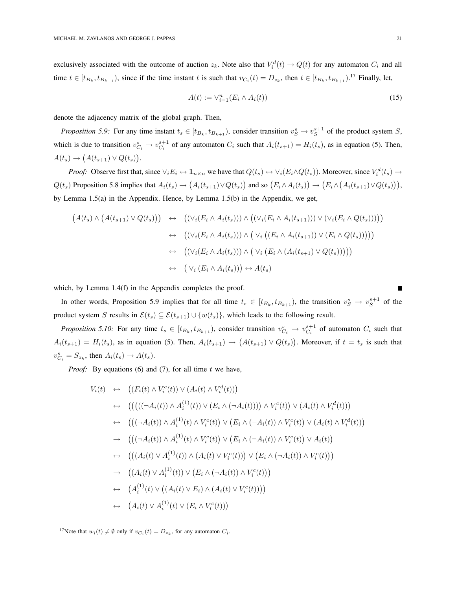exclusively associated with the outcome of auction  $z_k$ . Note also that  $V_i^d(t) \to Q(t)$  for any automaton  $C_i$  and all time  $t \in [t_{B_k}, t_{B_{k+1}})$ , since if the time instant t is such that  $v_{C_i}(t) = D_{z_k}$ , then  $t \in [t_{B_k}, t_{B_{k+1}}]$ .<sup>17</sup> Finally, let,

$$
A(t) := \vee_{i=1}^{n} (E_i \wedge A_i(t))
$$
\n<sup>(15)</sup>

denote the adjacency matrix of the global graph. Then,

*Proposition 5.9:* For any time instant  $t_s \in [t_{B_k}, t_{B_{k+1}})$ , consider transition  $v_S^s \to v_S^{s+1}$  of the product system S, which is due to transition  $v_{C_i}^s \to v_{C_i}^{s+1}$  of any automaton  $C_i$  such that  $A_i(t_{s+1}) = H_i(t_s)$ , as in equation (5). Then,  $A(t_s) \rightarrow (A(t_{s+1}) \vee Q(t_s)).$  $\epsilon$ 

*Proof:* Observe first that, since  $\vee_i E_i \leftrightarrow 1_{n \times n}$  we have that  $Q(t_s) \leftrightarrow \vee_i (E_i \wedge Q(t_s))$ . Moreover, since  $V_i^d(t_s) \rightarrow$  $Q(t_s)$  Proposition 5.8 implies that  $A_i(t_s) \rightarrow$ ¡  $A_i(t_{s+1})\vee Q(t_s)$ and so  $(E_i \wedge A_i(t_s))$ ¢  $\rightarrow$ ¡  $E_i\wedge$ ¡  $A_i(t_{s+1})\vee Q(t_s)$ ), by Lemma 1.5(a) in the Appendix. Hence, by Lemma 1.5(b) in the Appendix, we get,

$$
(A(t_s) \wedge (A(t_{s+1}) \vee Q(t_s))) \leftrightarrow ((\vee_i (E_i \wedge A_i(t_s))) \wedge ((\vee_i (E_i \wedge A_i(t_{s+1}))) \vee (\vee_i (E_i \wedge Q(t_s))))))
$$
  

$$
\leftrightarrow ((\vee_i (E_i \wedge A_i(t_s))) \wedge (\vee_i ((E_i \wedge A_i(t_{s+1})) \vee (E_i \wedge Q(t_s))))))
$$
  

$$
\leftrightarrow ((\vee_i (E_i \wedge A_i(t_s))) \wedge (\vee_i (E_i \wedge (A_i(t_{s+1}) \vee Q(t_s))))))
$$
  

$$
\leftrightarrow (\vee_i (E_i \wedge A_i(t_s))) \leftrightarrow A(t_s)
$$

which, by Lemma 1.4(f) in the Appendix completes the proof.

In other words, Proposition 5.9 implies that for all time  $t_s \in [t_{B_k}, t_{B_{k+1}})$ , the transition  $v_S^s \to v_S^{s+1}$  of the product system S results in  $\mathcal{E}(t_s) \subseteq \mathcal{E}(t_{s+1}) \cup \{w(t_s)\}\)$ , which leads to the following result.

*Proposition 5.10:* For any time  $t_s \in [t_{B_k}, t_{B_{k+1}})$ , consider transition  $v_{C_i}^s \to v_{C_i}^{s+1}$  of automaton  $C_i$  such that  $A_i(t_{s+1}) = H_i(t_s)$ , as in equation (5). Then,  $A_i(t_{s+1}) \rightarrow$ ¡  $A(t_{s+1}) \vee Q(t_s)$ ¢ . Moreover, if  $t = t_s$  is such that  $v_{C_i}^s = S_{z_k}$ , then  $A_i(t_s) \rightarrow A(t_s)$ .

*Proof:* By equations (6) and (7), for all time  $t$  we have,

$$
V_i(t) \leftrightarrow ((F_i(t) \wedge V_i^c(t)) \vee (A_i(t) \wedge V_i^d(t)))
$$
  
\n
$$
\leftrightarrow (((((\neg A_i(t)) \wedge A_i^{(1)}(t)) \vee (E_i \wedge (\neg A_i(t)))) \wedge V_i^c(t)) \vee (A_i(t) \wedge V_i^d(t)))
$$
  
\n
$$
\leftrightarrow (((\neg A_i(t)) \wedge A_i^{(1)}(t) \wedge V_i^c(t)) \vee (E_i \wedge (\neg A_i(t)) \wedge V_i^c(t)) \vee (A_i(t) \wedge V_i^d(t)))
$$
  
\n
$$
\rightarrow (((\neg A_i(t)) \wedge A_i^{(1)}(t) \wedge V_i^c(t)) \vee (E_i \wedge (\neg A_i(t)) \wedge V_i^c(t)) \vee A_i(t))
$$
  
\n
$$
\leftrightarrow ((A_i(t) \vee A_i^{(1)}(t)) \wedge (A_i(t) \vee V_i^c(t))) \vee (E_i \wedge (\neg A_i(t)) \wedge V_i^c(t)))
$$
  
\n
$$
\rightarrow ((A_i(t) \vee A_i^{(1)}(t)) \vee (E_i \wedge (\neg A_i(t) \wedge V_i^c(t)))
$$
  
\n
$$
\leftrightarrow (A_i^{(1)}(t) \vee ((A_i(t) \vee E_i) \wedge (A_i(t) \vee V_i^c(t))))
$$
  
\n
$$
\leftrightarrow (A_i(t) \vee A_i^{(1)}(t) \vee (E_i \wedge V_i^c(t)))
$$

<sup>17</sup>Note that  $w_i(t) \neq \emptyset$  only if  $v_{C_i}(t) = D_{z_k}$ , for any automaton  $C_i$ .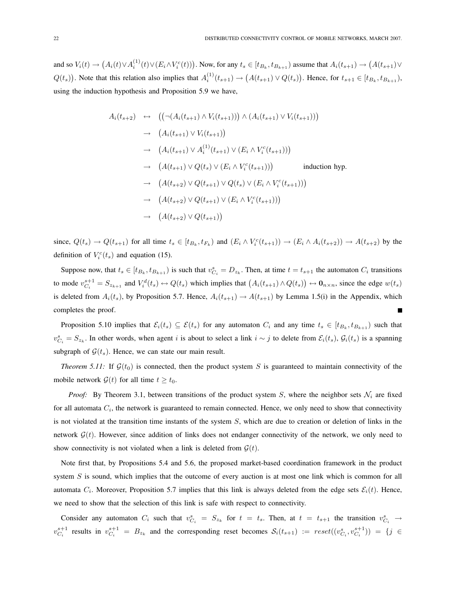and so  $V_i(t) \rightarrow$ ¡  $A_i(t) \vee A_i^{(1)}(t) \vee (E_i \wedge V_i^c(t)))$ . Now, for any  $t_s \in [t_{B_k}, t_{B_{k+1}})$  assume that  $A_i(t_{s+1}) \rightarrow$ ¡  $A(t_{s+1})\vee$  $Q(t_s)$ ¢ . Note that this relation also implies that  $A_i^{(1)}(t_{s+1}) \rightarrow$ ¡  $A(t_{s+1}) \vee Q(t_s)$ ¢ . Hence, for  $t_{s+1} \in [t_{B_k}, t_{B_{k+1}})$ , using the induction hypothesis and Proposition 5.9 we have,

$$
A_i(t_{s+2}) \leftrightarrow ((\neg (A_i(t_{s+1}) \land V_i(t_{s+1}))) \land (A_i(t_{s+1}) \lor V_i(t_{s+1})))
$$
  
\n
$$
\rightarrow (A_i(t_{s+1}) \lor V_i(t_{s+1}))
$$
  
\n
$$
\rightarrow (A_i(t_{s+1}) \lor A_i^{(1)}(t_{s+1}) \lor (E_i \land V_i^c(t_{s+1})))
$$
  
\n
$$
\rightarrow (A(t_{s+1}) \lor Q(t_s) \lor (E_i \land V_i^c(t_{s+1})))
$$
 induction hyp.  
\n
$$
\rightarrow (A(t_{s+2}) \lor Q(t_{s+1}) \lor Q(t_s) \lor (E_i \land V_i^c(t_{s+1})))
$$
  
\n
$$
\rightarrow (A(t_{s+2}) \lor Q(t_{s+1}) \lor (E_i \land V_i^c(t_{s+1})))
$$
  
\n
$$
\rightarrow (A(t_{s+2}) \lor Q(t_{s+1}))
$$

since,  $Q(t_s) \to Q(t_{s+1})$  for all time  $t_s \in [t_{B_k}, t_{F_k})$  and  $(E_i \wedge V_i^c(t_{s+1})) \to (E_i \wedge A_i(t_{s+2})) \to A(t_{s+2})$  by the definition of  $V_i^c(t_s)$  and equation (15).

Suppose now, that  $t_s \in [t_{B_k}, t_{B_{k+1}})$  is such that  $v_{C_i}^s = D_{z_k}$ . Then, at time  $t = t_{s+1}$  the automaton  $C_i$  transitions to mode  $v_{C_i}^{s+1} = S_{z_{k+1}}$  and  $V_i^d(t_s) \leftrightarrow Q(t_s)$  which implies that  $(A_i(t_{s+1}) \wedge Q(t_s))$ ∫<br>∖  $\leftrightarrow$  0<sub>n×n</sub>, since the edge  $w(t_s)$ is deleted from  $A_i(t_s)$ , by Proposition 5.7. Hence,  $A_i(t_{s+1}) \rightarrow A(t_{s+1})$  by Lemma 1.5(i) in the Appendix, which completes the proof.

Proposition 5.10 implies that  $\mathcal{E}_i(t_s) \subseteq \mathcal{E}(t_s)$  for any automaton  $C_i$  and any time  $t_s \in [t_{B_k}, t_{B_{k+1}})$  such that  $v_{C_i}^s = S_{z_k}$ . In other words, when agent i is about to select a link  $i \sim j$  to delete from  $\mathcal{E}_i(t_s)$ ,  $\mathcal{G}_i(t_s)$  is a spanning subgraph of  $\mathcal{G}(t_s)$ . Hence, we can state our main result.

*Theorem 5.11:* If  $\mathcal{G}(t_0)$  is connected, then the product system S is guaranteed to maintain connectivity of the mobile network  $\mathcal{G}(t)$  for all time  $t \geq t_0$ .

*Proof:* By Theorem 3.1, between transitions of the product system S, where the neighbor sets  $\mathcal{N}_i$  are fixed for all automata  $C_i$ , the network is guaranteed to remain connected. Hence, we only need to show that connectivity is not violated at the transition time instants of the system  $S$ , which are due to creation or deletion of links in the network  $\mathcal{G}(t)$ . However, since addition of links does not endanger connectivity of the network, we only need to show connectivity is not violated when a link is deleted from  $\mathcal{G}(t)$ .

Note first that, by Propositions 5.4 and 5.6, the proposed market-based coordination framework in the product system S is sound, which implies that the outcome of every auction is at most one link which is common for all automata  $C_i$ . Moreover, Proposition 5.7 implies that this link is always deleted from the edge sets  $\mathcal{E}_i(t)$ . Hence, we need to show that the selection of this link is safe with respect to connectivity.

Consider any automaton  $C_i$  such that  $v_{C_i}^s = S_{z_k}$  for  $t = t_s$ . Then, at  $t = t_{s+1}$  the transition  $v_{C_i}^s \to$  $v_{C_i}^{s+1}$  results in  $v_{C_i}^{s+1} = B_{z_k}$  and the corresponding reset becomes  $\mathcal{S}_i(t_{s+1}) := reset((v_{C_i}^s, v_{C_i}^{s+1})) = \{j \in C_i\}$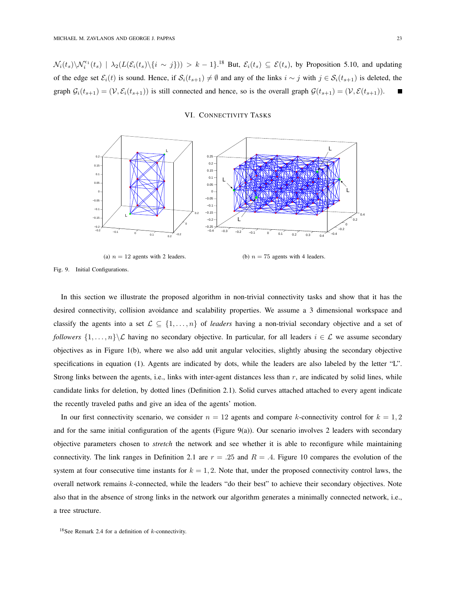$\mathcal{N}_i(t_s)\setminus \mathcal{N}_i^{\epsilon_1}(t_s)$  |  $\lambda_2(L(\mathcal{E}_i(t_s)\setminus\{i\sim j\})) > k-1$ .<sup>18</sup> But,  $\mathcal{E}_i(t_s) \subseteq \mathcal{E}(t_s)$ , by Proposition 5.10, and updating of the edge set  $\mathcal{E}_i(t)$  is sound. Hence, if  $\mathcal{S}_i(t_{s+1}) \neq \emptyset$  and any of the links  $i \sim j$  with  $j \in \mathcal{S}_i(t_{s+1})$  is deleted, the graph  $G_i(t_{s+1}) = (\mathcal{V}, \mathcal{E}_i(t_{s+1}))$  is still connected and hence, so is the overall graph  $\mathcal{G}(t_{s+1}) = (\mathcal{V}, \mathcal{E}(t_{s+1}))$ .

# VI. CONNECTIVITY TASKS



(a)  $n = 12$  agents with 2 leaders.

(b)  $n = 75$  agents with 4 leaders.

Fig. 9. Initial Configurations.

In this section we illustrate the proposed algorithm in non-trivial connectivity tasks and show that it has the desired connectivity, collision avoidance and scalability properties. We assume a 3 dimensional workspace and classify the agents into a set  $\mathcal{L} \subseteq \{1, \ldots, n\}$  of *leaders* having a non-trivial secondary objective and a set of *followers*  $\{1,\ldots,n\}\setminus\mathcal{L}$  having no secondary objective. In particular, for all leaders  $i \in \mathcal{L}$  we assume secondary objectives as in Figure 1(b), where we also add unit angular velocities, slightly abusing the secondary objective specifications in equation (1). Agents are indicated by dots, while the leaders are also labeled by the letter "L". Strong links between the agents, i.e., links with inter-agent distances less than r, are indicated by solid lines, while candidate links for deletion, by dotted lines (Definition 2.1). Solid curves attached attached to every agent indicate the recently traveled paths and give an idea of the agents' motion.

In our first connectivity scenario, we consider  $n = 12$  agents and compare k-connectivity control for  $k = 1, 2$ and for the same initial configuration of the agents (Figure 9(a)). Our scenario involves 2 leaders with secondary objective parameters chosen to *stretch* the network and see whether it is able to reconfigure while maintaining connectivity. The link ranges in Definition 2.1 are  $r = .25$  and  $R = .4$ . Figure 10 compares the evolution of the system at four consecutive time instants for  $k = 1, 2$ . Note that, under the proposed connectivity control laws, the overall network remains k-connected, while the leaders "do their best" to achieve their secondary objectives. Note also that in the absence of strong links in the network our algorithm generates a minimally connected network, i.e., a tree structure.

<sup>&</sup>lt;sup>18</sup>See Remark 2.4 for a definition of  $k$ -connectivity.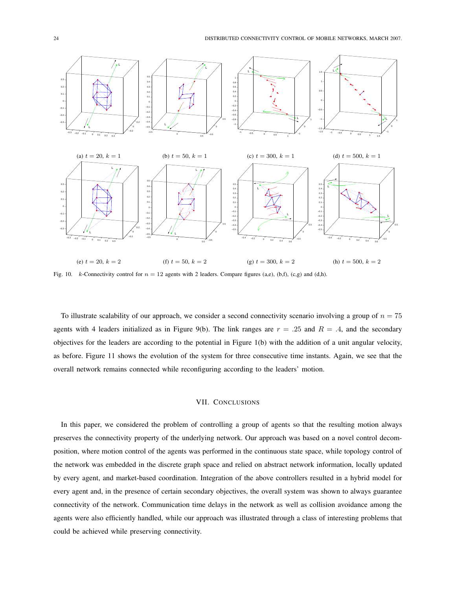

Fig. 10. k-Connectivity control for  $n = 12$  agents with 2 leaders. Compare figures (a,e), (b,f), (c,g) and (d,h).

To illustrate scalability of our approach, we consider a second connectivity scenario involving a group of  $n = 75$ agents with 4 leaders initialized as in Figure 9(b). The link ranges are  $r = .25$  and  $R = .4$ , and the secondary objectives for the leaders are according to the potential in Figure 1(b) with the addition of a unit angular velocity, as before. Figure 11 shows the evolution of the system for three consecutive time instants. Again, we see that the overall network remains connected while reconfiguring according to the leaders' motion.

## VII. CONCLUSIONS

In this paper, we considered the problem of controlling a group of agents so that the resulting motion always preserves the connectivity property of the underlying network. Our approach was based on a novel control decomposition, where motion control of the agents was performed in the continuous state space, while topology control of the network was embedded in the discrete graph space and relied on abstract network information, locally updated by every agent, and market-based coordination. Integration of the above controllers resulted in a hybrid model for every agent and, in the presence of certain secondary objectives, the overall system was shown to always guarantee connectivity of the network. Communication time delays in the network as well as collision avoidance among the agents were also efficiently handled, while our approach was illustrated through a class of interesting problems that could be achieved while preserving connectivity.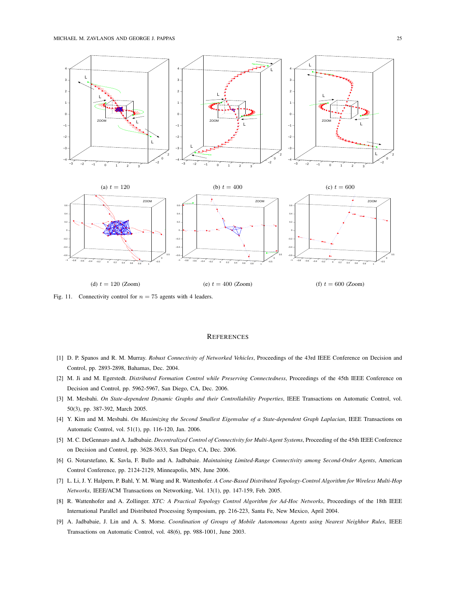

Fig. 11. Connectivity control for  $n = 75$  agents with 4 leaders.

#### **REFERENCES**

- [1] D. P. Spanos and R. M. Murray. *Robust Connectivity of Networked Vehicles*, Proceedings of the 43rd IEEE Conference on Decision and Control, pp. 2893-2898, Bahamas, Dec. 2004.
- [2] M. Ji and M. Egerstedt. *Distributed Formation Control while Preserving Connectedness*, Proceedings of the 45th IEEE Conference on Decision and Control, pp. 5962-5967, San Diego, CA, Dec. 2006.
- [3] M. Mesbahi. *On State-dependent Dynamic Graphs and their Controllability Properties*, IEEE Transactions on Automatic Control, vol. 50(3), pp. 387-392, March 2005.
- [4] Y. Kim and M. Mesbahi. *On Maximizing the Second Smallest Eigenvalue of a State-dependent Graph Laplacian*, IEEE Transactions on Automatic Control, vol. 51(1), pp. 116-120, Jan. 2006.
- [5] M. C. DeGennaro and A. Jadbabaie. *Decentralized Control of Connectivity for Multi-Agent Systems*, Proceeding of the 45th IEEE Conference on Decision and Control, pp. 3628-3633, San Diego, CA, Dec. 2006.
- [6] G. Notarstefano, K. Savla, F. Bullo and A. Jadbabaie. *Maintaining Limited-Range Connectivity among Second-Order Agents*, American Control Conference, pp. 2124-2129, Minneapolis, MN, June 2006.
- [7] L. Li, J. Y. Halpern, P. Bahl, Y. M. Wang and R. Wattenhofer. *A Cone-Based Distributed Topology-Control Algorithm for Wireless Multi-Hop Networks*, IEEE/ACM Transactions on Networking, Vol. 13(1), pp. 147-159, Feb. 2005.
- [8] R. Wattenhofer and A. Zollinger. *XTC: A Practical Topology Control Algorithm for Ad-Hoc Networks*, Proceedings of the 18th IEEE International Parallel and Distributed Processing Symposium, pp. 216-223, Santa Fe, New Mexico, April 2004.
- [9] A. Jadbabaie, J. Lin and A. S. Morse. *Coordination of Groups of Mobile Autonomous Agents using Nearest Neighbor Rules*, IEEE Transactions on Automatic Control, vol. 48(6), pp. 988-1001, June 2003.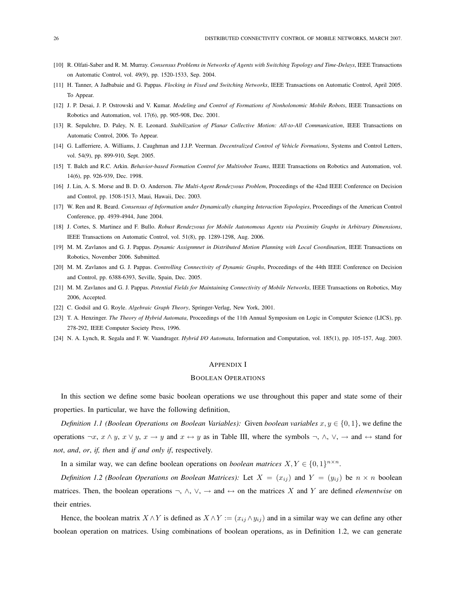- [10] R. Olfati-Saber and R. M. Murray. *Consensus Problems in Networks of Agents with Switching Topology and Time-Delays*, IEEE Transactions on Automatic Control, vol. 49(9), pp. 1520-1533, Sep. 2004.
- [11] H. Tanner, A Jadbabaie and G. Pappas. *Flocking in Fixed and Switching Networks*, IEEE Transactions on Automatic Control, April 2005. To Appear.
- [12] J. P. Desai, J. P. Ostrowski and V. Kumar. *Modeling and Control of Formations of Nonholonomic Mobile Robots*, IEEE Transactions on Robotics and Automation, vol. 17(6), pp. 905-908, Dec. 2001.
- [13] R. Sepulchre, D. Paley, N. E. Leonard. *Stabilization of Planar Collective Motion: All-to-All Communication*, IEEE Transactions on Automatic Control, 2006. To Appear.
- [14] G. Lafferriere, A. Williams, J. Caughman and J.J.P. Veerman. *Decentralized Control of Vehicle Formations*, Systems and Control Letters, vol. 54(9), pp. 899-910, Sept. 2005.
- [15] T. Balch and R.C. Arkin. *Behavior-based Formation Control for Multirobot Teams*, IEEE Transactions on Robotics and Automation, vol. 14(6), pp. 926-939, Dec. 1998.
- [16] J. Lin, A. S. Morse and B. D. O. Anderson. *The Multi-Agent Rendezvous Problem*, Proceedings of the 42nd IEEE Conference on Decision and Control, pp. 1508-1513, Maui, Hawaii, Dec. 2003.
- [17] W. Ren and R. Beard. *Consensus of Information under Dynamically changing Interaction Topologies*, Proceedings of the American Control Conference, pp. 4939-4944, June 2004.
- [18] J. Cortes, S. Martinez and F. Bullo. *Robust Rendezvous for Mobile Autonomous Agents via Proximity Graphs in Arbitrary Dimensions*, IEEE Transactions on Automatic Control, vol. 51(8), pp. 1289-1298, Aug. 2006.
- [19] M. M. Zavlanos and G. J. Pappas. *Dynamic Assignmnet in Distributed Motion Planning with Local Coordination*, IEEE Transactions on Robotics, November 2006. Submitted.
- [20] M. M. Zavlanos and G. J. Pappas. *Controlling Connectivity of Dynamic Graphs*, Proceedings of the 44th IEEE Conference on Decision and Control, pp. 6388-6393, Seville, Spain, Dec. 2005.
- [21] M. M. Zavlanos and G. J. Pappas. *Potential Fields for Maintaining Connectivity of Mobile Networks*, IEEE Transactions on Robotics, May 2006, Accepted.
- [22] C. Godsil and G. Royle. *Algebraic Graph Theory*, Springer-Verlag, New York, 2001.
- [23] T. A. Henzinger. *The Theory of Hybrid Automata*, Proceedings of the 11th Annual Symposium on Logic in Computer Science (LICS), pp. 278-292, IEEE Computer Society Press, 1996.
- [24] N. A. Lynch, R. Segala and F. W. Vaandrager. *Hybrid I/O Automata*, Information and Computation, vol. 185(1), pp. 105-157, Aug. 2003.

## APPENDIX I

#### BOOLEAN OPERATIONS

In this section we define some basic boolean operations we use throughout this paper and state some of their properties. In particular, we have the following definition,

*Definition 1.1 (Boolean Operations on Boolean Variables):* Given *boolean variables*  $x, y \in \{0, 1\}$ , we define the operations  $\neg x$ ,  $x \land y$ ,  $x \lor y$ ,  $x \to y$  and  $x \leftrightarrow y$  as in Table III, where the symbols  $\neg$ ,  $\land$ ,  $\lor$ ,  $\rightarrow$  and  $\leftrightarrow$  stand for *not*, *and*, *or*, *if, then* and *if and only if*, respectively.

In a similar way, we can define boolean operations on *boolean matrices*  $X, Y \in \{0, 1\}^{n \times n}$ .

*Definition 1.2 (Boolean Operations on Boolean Matrices):* Let  $X = (x_{ij})$  and  $Y = (y_{ij})$  be  $n \times n$  boolean matrices. Then, the boolean operations  $\neg$ ,  $\wedge$ ,  $\vee$ ,  $\rightarrow$  and  $\leftrightarrow$  on the matrices X and Y are defined *elementwise* on their entries.

Hence, the boolean matrix  $X \wedge Y$  is defined as  $X \wedge Y := (x_{ij} \wedge y_{ij})$  and in a similar way we can define any other boolean operation on matrices. Using combinations of boolean operations, as in Definition 1.2, we can generate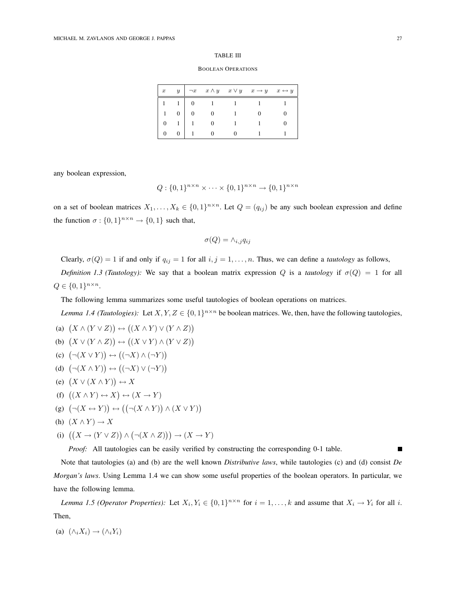#### TABLE III

#### BOOLEAN OPERATIONS

| $\boldsymbol{x}$ | $\boldsymbol{y}$ |  | $\neg x \quad x \wedge y \quad x \vee y \quad x \rightarrow y \quad x \leftrightarrow y$ |  |
|------------------|------------------|--|------------------------------------------------------------------------------------------|--|
|                  |                  |  |                                                                                          |  |
|                  | 0                |  |                                                                                          |  |
|                  |                  |  |                                                                                          |  |
|                  |                  |  |                                                                                          |  |

any boolean expression,

$$
Q: \{0,1\}^{n \times n} \times \cdots \times \{0,1\}^{n \times n} \to \{0,1\}^{n \times n}
$$

on a set of boolean matrices  $X_1, \ldots, X_k \in \{0,1\}^{n \times n}$ . Let  $Q = (q_{ij})$  be any such boolean expression and define the function  $\sigma: \{0,1\}^{n \times n} \to \{0,1\}$  such that,

$$
\sigma(Q) = \wedge_{i,j} q_{ij}
$$

Clearly,  $\sigma(Q) = 1$  if and only if  $q_{ij} = 1$  for all  $i, j = 1, ..., n$ . Thus, we can define a *tautology* as follows,

*Definition 1.3 (Tautology):* We say that a boolean matrix expression Q is a *tautology* if  $\sigma(Q) = 1$  for all  $Q \in \{0,1\}^{n \times n}$ .

The following lemma summarizes some useful tautologies of boolean operations on matrices.

*Lemma 1.4 (Tautologies)*: Let  $X, Y, Z \in \{0, 1\}^{n \times n}$  be boolean matrices. We, then, have the following tautologies,

- (a)  $(X \wedge (Y \vee Z))$ ¢ ↔ ¡  $(X \wedge Y) \vee (Y \wedge Z)$ ¢
- (b)  $(X \vee (Y \wedge Z))$ ¢ ↔ ¡  $(X \vee Y) \wedge (Y \vee Z)$  $\frac{7}{1}$
- (c)  $(\neg(X \lor Y))$ ¢  $\leftrightarrow$ ¡  $(\neg X) \wedge (\neg Y)$ ¢
- (d)  $(\neg(X \land Y))$ ¢  $\leftrightarrow$ ¡  $(\neg X) \vee (\neg Y)$  $\hat{y}$
- (e)  $(X \vee (X \wedge Y))$ ¢  $\leftrightarrow X$
- (f)  $((X \wedge Y) \leftrightarrow X)$ ¢  $\leftrightarrow (X \rightarrow Y)$
- (g)  $(\neg(X \leftrightarrow Y))$ ¢  $\leftrightarrow ((\neg (X \wedge Y))$  $\wedge$   $(X \vee Y)$ ¢

(h) 
$$
(X \wedge Y) \rightarrow X
$$

(i)  $((X \rightarrow (Y \vee Z)))$ ∧ ¡  $\neg(X \wedge Z))$   $\rightarrow$   $(X \rightarrow Y)$ 

*Proof:* All tautologies can be easily verified by constructing the corresponding 0-1 table.

Note that tautologies (a) and (b) are the well known *Distributive laws*, while tautologies (c) and (d) consist *De Morgan's laws*. Using Lemma 1.4 we can show some useful properties of the boolean operators. In particular, we have the following lemma.

*Lemma 1.5 (Operator Properties):* Let  $X_i, Y_i \in \{0,1\}^{n \times n}$  for  $i = 1, ..., k$  and assume that  $X_i \to Y_i$  for all i. Then,

(a) 
$$
(\wedge_i X_i) \to (\wedge_i Y_i)
$$